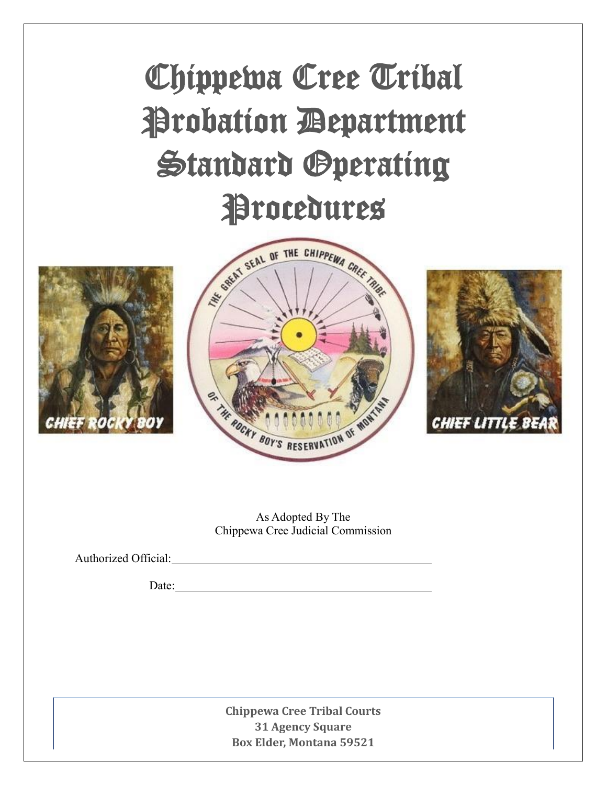

As Adopted By The Chippewa Cree Judicial Commission

Authorized Official: 2000 and 2000 and 2000 and 2000 and 2000 and 2000 and 2000 and 2000 and 2000 and 2000 and 2000 and 2000 and 2000 and 2000 and 2000 and 2000 and 2000 and 2000 and 2000 and 2000 and 2000 and 2000 and 200

Date:

**Chippewa Cree Tribal Courts 31 Agency Square Box Elder, Montana 59521**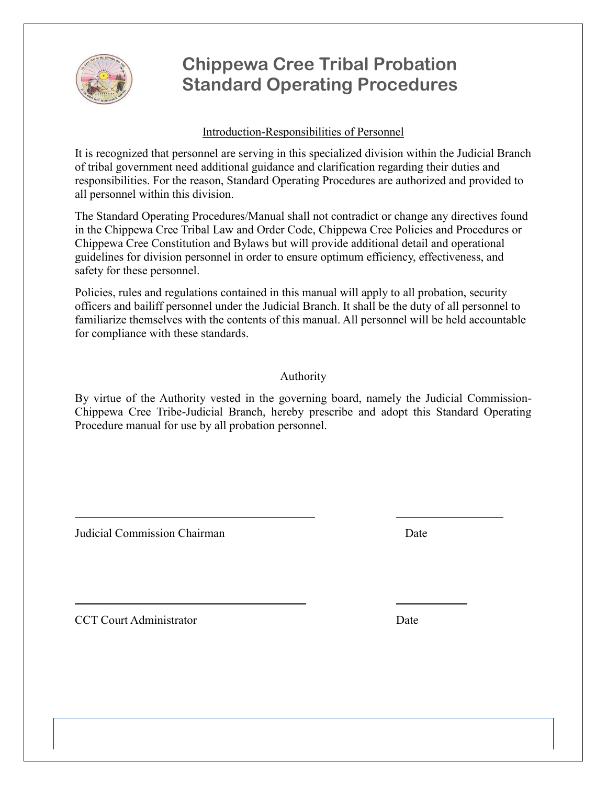

#### Introduction-Responsibilities of Personnel

It is recognized that personnel are serving in this specialized division within the Judicial Branch of tribal government need additional guidance and clarification regarding their duties and responsibilities. For the reason, Standard Operating Procedures are authorized and provided to all personnel within this division.

The Standard Operating Procedures/Manual shall not contradict or change any directives found in the Chippewa Cree Tribal Law and Order Code, Chippewa Cree Policies and Procedures or Chippewa Cree Constitution and Bylaws but will provide additional detail and operational guidelines for division personnel in order to ensure optimum efficiency, effectiveness, and safety for these personnel.

Policies, rules and regulations contained in this manual will apply to all probation, security officers and bailiff personnel under the Judicial Branch. It shall be the duty of all personnel to familiarize themselves with the contents of this manual. All personnel will be held accountable for compliance with these standards.

### Authority

By virtue of the Authority vested in the governing board, namely the Judicial Commission-Chippewa Cree Tribe-Judicial Branch, hereby prescribe and adopt this Standard Operating Procedure manual for use by all probation personnel.

 $\overline{a}$ 

Judicial Commission Chairman Date

CCT Court Administrator Date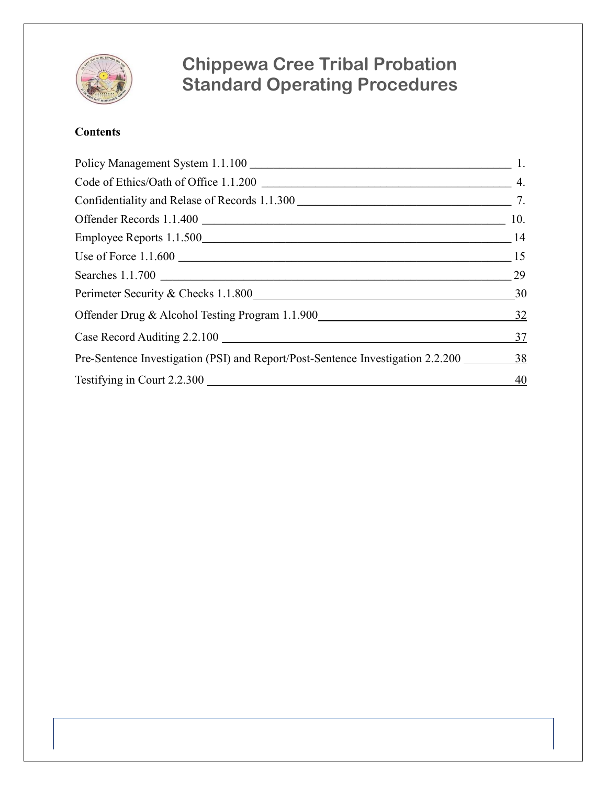

### **Contents**

| Perimeter Security & Checks 1.1.800<br>30                                       |    |
|---------------------------------------------------------------------------------|----|
| Offender Drug & Alcohol Testing Program 1.1.900                                 | 32 |
| Case Record Auditing 2.2.100                                                    | 37 |
| Pre-Sentence Investigation (PSI) and Report/Post-Sentence Investigation 2.2.200 | 38 |
| Testifying in Court 2.2.300                                                     | 40 |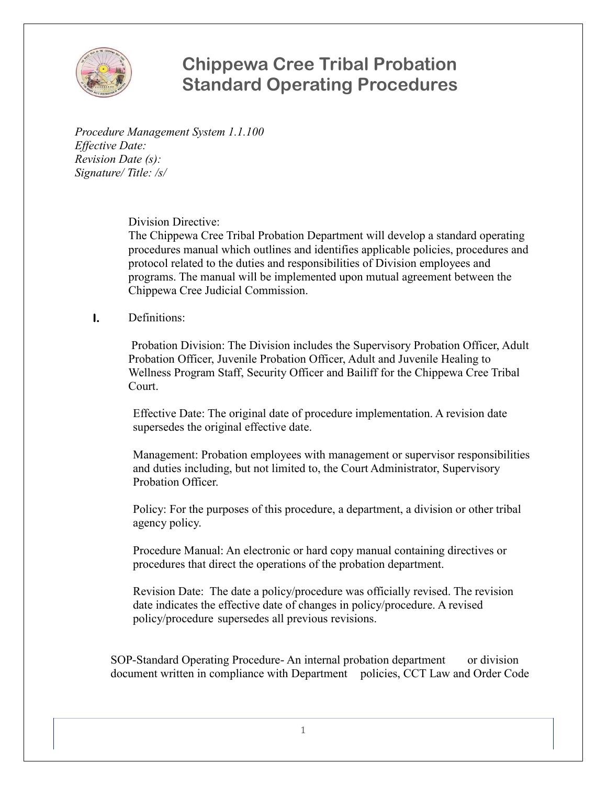

*Procedure Management System 1.1.100 Effective Date: Revision Date (s): Signature/ Title: /s/*

#### Division Directive:

The Chippewa Cree Tribal Probation Department will develop a standard operating procedures manual which outlines and identifies applicable policies, procedures and protocol related to the duties and responsibilities of Division employees and programs. The manual will be implemented upon mutual agreement between the Chippewa Cree Judicial Commission.

#### **I.** Definitions:

Probation Division: The Division includes the Supervisory Probation Officer, Adult Probation Officer, Juvenile Probation Officer, Adult and Juvenile Healing to Wellness Program Staff, Security Officer and Bailiff for the Chippewa Cree Tribal Court.

Effective Date: The original date of procedure implementation. A revision date supersedes the original effective date.

Management: Probation employees with management or supervisor responsibilities and duties including, but not limited to, the Court Administrator, Supervisory Probation Officer.

Policy: For the purposes of this procedure, a department, a division or other tribal agency policy.

Procedure Manual: An electronic or hard copy manual containing directives or procedures that direct the operations of the probation department.

Revision Date: The date a policy/procedure was officially revised. The revision date indicates the effective date of changes in policy/procedure. A revised policy/procedure supersedes all previous revisions.

SOP-Standard Operating Procedure- An internal probation department or division document written in compliance with Department policies, CCT Law and Order Code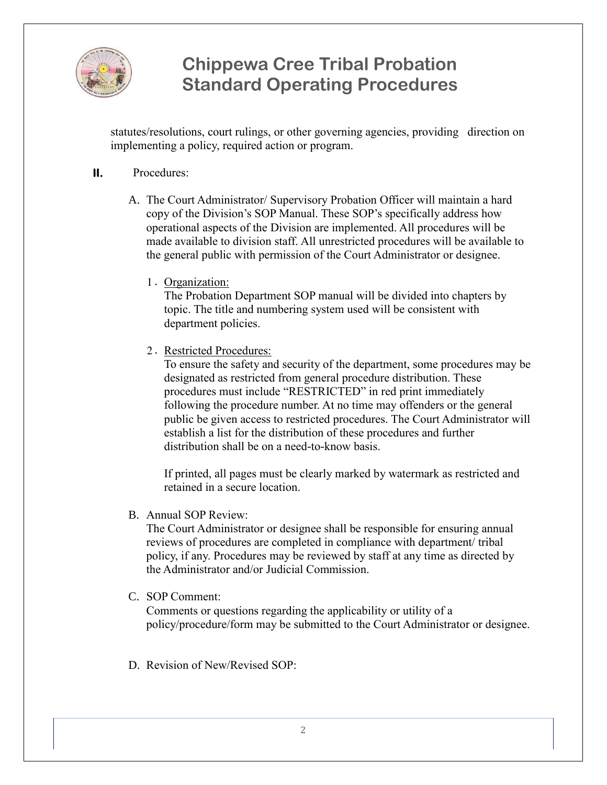

statutes/resolutions, court rulings, or other governing agencies, providing direction on implementing a policy, required action or program.

#### **II.** Procedures:

- A. The Court Administrator/ Supervisory Probation Officer will maintain a hard copy of the Division's SOP Manual. These SOP's specifically address how operational aspects of the Division are implemented. All procedures will be made available to division staff. All unrestricted procedures will be available to the general public with permission of the Court Administrator or designee.
	- 1. Organization:

The Probation Department SOP manual will be divided into chapters by topic. The title and numbering system used will be consistent with department policies.

2. Restricted Procedures:

To ensure the safety and security of the department, some procedures may be designated as restricted from general procedure distribution. These procedures must include "RESTRICTED" in red print immediately following the procedure number. At no time may offenders or the general public be given access to restricted procedures. The Court Administrator will establish a list for the distribution of these procedures and further distribution shall be on a need-to-know basis.

If printed, all pages must be clearly marked by watermark as restricted and retained in a secure location.

B. Annual SOP Review:

The Court Administrator or designee shall be responsible for ensuring annual reviews of procedures are completed in compliance with department/ tribal policy, if any. Procedures may be reviewed by staff at any time as directed by the Administrator and/or Judicial Commission.

C. SOP Comment:

Comments or questions regarding the applicability or utility of a policy/procedure/form may be submitted to the Court Administrator or designee.

D. Revision of New/Revised SOP.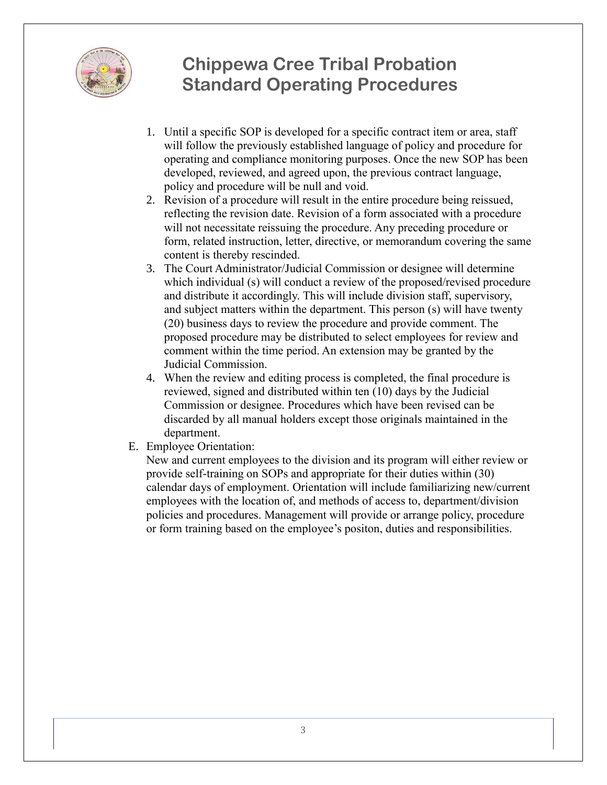

- 1. Until a specific SOP is developed for a specific contract item or area, staff will follow the previously established language of policy and procedure for operating and compliance monitoring purposes. Once the new SOP has been developed, reviewed, and agreed upon, the previous contract language, policy and procedure will be null and void.
- 2. Revision of a procedure will result in the entire procedure being reissued, reflecting the revision date. Revision of a form associated with a procedure will not necessitate reissuing the procedure. Any preceding procedure or form, related instruction, letter, directive, or memorandum covering the same content is thereby rescinded.
- 3. The Court Administrator/Judicial Commission or designee will determine which individual (s) will conduct a review of the proposed/revised procedure and distribute it accordingly. This will include division staff, supervisory, and subject matters within the department. This person (s) will have twenty (20) business days to review the procedure and provide comment. The proposed procedure may be distributed to select employees for review and comment within the time period. An extension may be granted by the Judicial Commission.
- 4. When the review and editing process is completed, the final procedure is reviewed, signed and distributed within ten (10) days by the Judicial Commission or designee. Procedures which have been revised can be discarded by all manual holders except those originals maintained in the department.
- E. Employee Orientation:

New and current employees to the division and its program will either review or provide self-training on SOPs and appropriate for their duties within (30) calendar days of employment. Orientation will include familiarizing new/current employees with the location of, and methods of access to, department/division policies and procedures. Management will provide or arrange policy, procedure or form training based on the employee's positon, duties and responsibilities.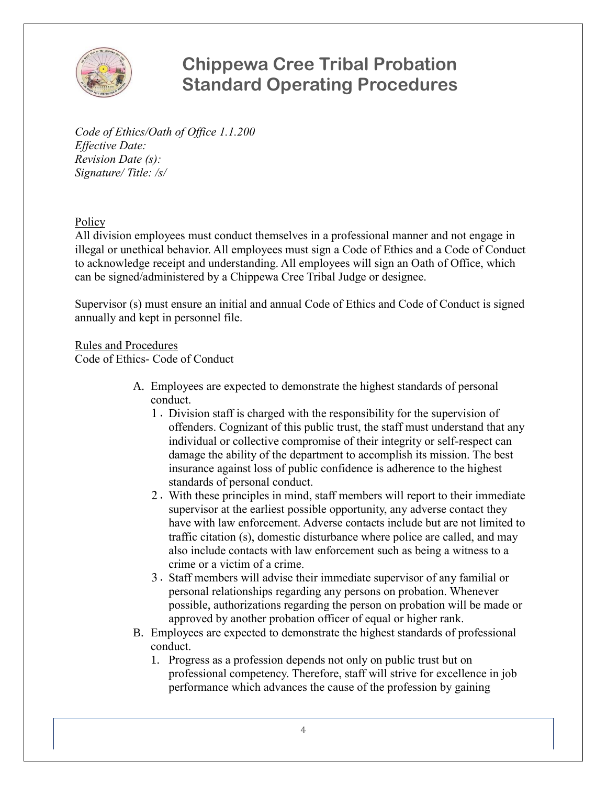

*Code of Ethics/Oath of Office 1.1.200 Effective Date: Revision Date (s): Signature/ Title: /s/*

**Policy** 

All division employees must conduct themselves in a professional manner and not engage in illegal or unethical behavior. All employees must sign a Code of Ethics and a Code of Conduct to acknowledge receipt and understanding. All employees will sign an Oath of Office, which can be signed/administered by a Chippewa Cree Tribal Judge or designee.

Supervisor (s) must ensure an initial and annual Code of Ethics and Code of Conduct is signed annually and kept in personnel file.

Rules and Procedures Code of Ethics- Code of Conduct

- A. Employees are expected to demonstrate the highest standards of personal conduct.
	- 1. Division staff is charged with the responsibility for the supervision of offenders. Cognizant of this public trust, the staff must understand that any individual or collective compromise of their integrity or self-respect can damage the ability of the department to accomplish its mission. The best insurance against loss of public confidence is adherence to the highest standards of personal conduct.
	- 2. With these principles in mind, staff members will report to their immediate supervisor at the earliest possible opportunity, any adverse contact they have with law enforcement. Adverse contacts include but are not limited to traffic citation (s), domestic disturbance where police are called, and may also include contacts with law enforcement such as being a witness to a crime or a victim of a crime.
	- 3. Staff members will advise their immediate supervisor of any familial or personal relationships regarding any persons on probation. Whenever possible, authorizations regarding the person on probation will be made or approved by another probation officer of equal or higher rank.
- B. Employees are expected to demonstrate the highest standards of professional conduct.
	- 1. Progress as a profession depends not only on public trust but on professional competency. Therefore, staff will strive for excellence in job performance which advances the cause of the profession by gaining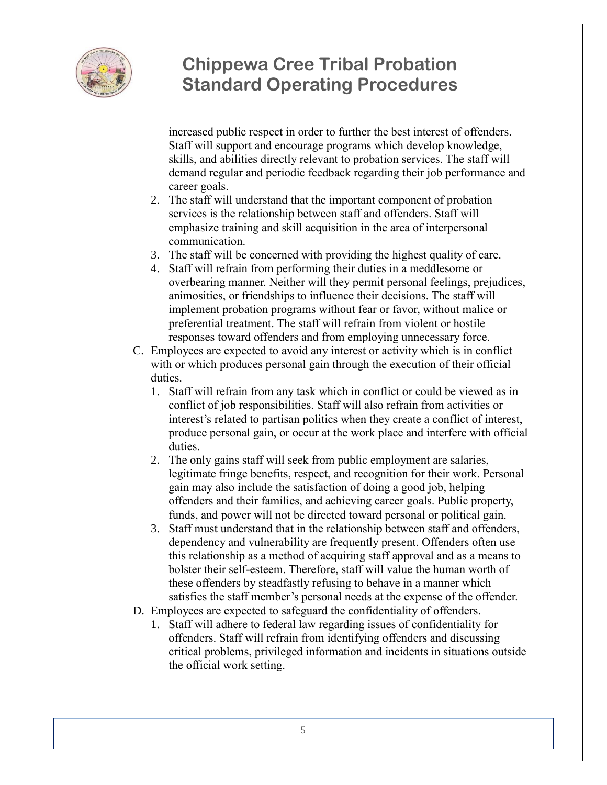

increased public respect in order to further the best interest of offenders. Staff will support and encourage programs which develop knowledge, skills, and abilities directly relevant to probation services. The staff will demand regular and periodic feedback regarding their job performance and career goals.

- 2. The staff will understand that the important component of probation services is the relationship between staff and offenders. Staff will emphasize training and skill acquisition in the area of interpersonal communication.
- 3. The staff will be concerned with providing the highest quality of care.
- 4. Staff will refrain from performing their duties in a meddlesome or overbearing manner. Neither will they permit personal feelings, prejudices, animosities, or friendships to influence their decisions. The staff will implement probation programs without fear or favor, without malice or preferential treatment. The staff will refrain from violent or hostile responses toward offenders and from employing unnecessary force.
- C. Employees are expected to avoid any interest or activity which is in conflict with or which produces personal gain through the execution of their official duties.
	- 1. Staff will refrain from any task which in conflict or could be viewed as in conflict of job responsibilities. Staff will also refrain from activities or interest's related to partisan politics when they create a conflict of interest, produce personal gain, or occur at the work place and interfere with official duties.
	- 2. The only gains staff will seek from public employment are salaries, legitimate fringe benefits, respect, and recognition for their work. Personal gain may also include the satisfaction of doing a good job, helping offenders and their families, and achieving career goals. Public property, funds, and power will not be directed toward personal or political gain.
	- 3. Staff must understand that in the relationship between staff and offenders, dependency and vulnerability are frequently present. Offenders often use this relationship as a method of acquiring staff approval and as a means to bolster their self-esteem. Therefore, staff will value the human worth of these offenders by steadfastly refusing to behave in a manner which satisfies the staff member's personal needs at the expense of the offender.
- D. Employees are expected to safeguard the confidentiality of offenders.
	- 1. Staff will adhere to federal law regarding issues of confidentiality for offenders. Staff will refrain from identifying offenders and discussing critical problems, privileged information and incidents in situations outside the official work setting.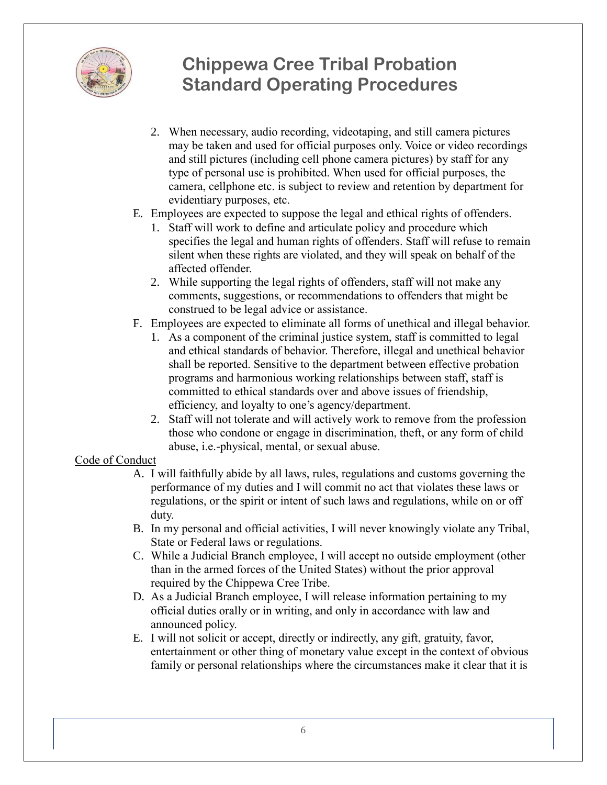

- 2. When necessary, audio recording, videotaping, and still camera pictures may be taken and used for official purposes only. Voice or video recordings and still pictures (including cell phone camera pictures) by staff for any type of personal use is prohibited. When used for official purposes, the camera, cellphone etc. is subject to review and retention by department for evidentiary purposes, etc.
- E. Employees are expected to suppose the legal and ethical rights of offenders.
	- 1. Staff will work to define and articulate policy and procedure which specifies the legal and human rights of offenders. Staff will refuse to remain silent when these rights are violated, and they will speak on behalf of the affected offender.
	- 2. While supporting the legal rights of offenders, staff will not make any comments, suggestions, or recommendations to offenders that might be construed to be legal advice or assistance.
- F. Employees are expected to eliminate all forms of unethical and illegal behavior.
	- 1. As a component of the criminal justice system, staff is committed to legal and ethical standards of behavior. Therefore, illegal and unethical behavior shall be reported. Sensitive to the department between effective probation programs and harmonious working relationships between staff, staff is committed to ethical standards over and above issues of friendship, efficiency, and loyalty to one's agency/department.
	- 2. Staff will not tolerate and will actively work to remove from the profession those who condone or engage in discrimination, theft, or any form of child abuse, i.e.-physical, mental, or sexual abuse.

#### Code of Conduct

- A. I will faithfully abide by all laws, rules, regulations and customs governing the performance of my duties and I will commit no act that violates these laws or regulations, or the spirit or intent of such laws and regulations, while on or off duty.
- B. In my personal and official activities, I will never knowingly violate any Tribal, State or Federal laws or regulations.
- C. While a Judicial Branch employee, I will accept no outside employment (other than in the armed forces of the United States) without the prior approval required by the Chippewa Cree Tribe.
- D. As a Judicial Branch employee, I will release information pertaining to my official duties orally or in writing, and only in accordance with law and announced policy.
- E. I will not solicit or accept, directly or indirectly, any gift, gratuity, favor, entertainment or other thing of monetary value except in the context of obvious family or personal relationships where the circumstances make it clear that it is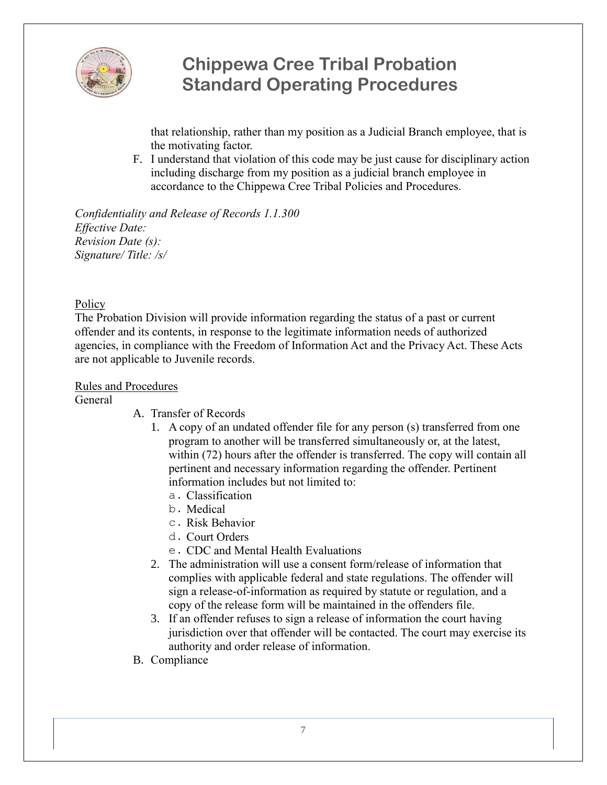

that relationship, rather than my position as a Judicial Branch employee, that is the motivating factor.

F. I understand that violation of this code may be just cause for disciplinary action including discharge from my position as a judicial branch employee in accordance to the Chippewa Cree Tribal Policies and Procedures.

*Confidentiality and Release of Records 1.1.300 Effective Date: Revision Date (s): Signature/ Title: /s/*

#### **Policy**

The Probation Division will provide information regarding the status of a past or current offender and its contents, in response to the legitimate information needs of authorized agencies, in compliance with the Freedom of Information Act and the Privacy Act. These Acts are not applicable to Juvenile records.

#### Rules and Procedures

**General** 

- A. Transfer of Records
	- 1. A copy of an undated offender file for any person (s) transferred from one program to another will be transferred simultaneously or, at the latest, within (72) hours after the offender is transferred. The copy will contain all pertinent and necessary information regarding the offender. Pertinent information includes but not limited to:
		- a. Classification
		- b. Medical
		- c. Risk Behavior
		- d. Court Orders
		- e. CDC and Mental Health Evaluations
	- 2. The administration will use a consent form/release of information that complies with applicable federal and state regulations. The offender will sign a release-of-information as required by statute or regulation, and a copy of the release form will be maintained in the offenders file.
	- 3. If an offender refuses to sign a release of information the court having jurisdiction over that offender will be contacted. The court may exercise its authority and order release of information.
- B. Compliance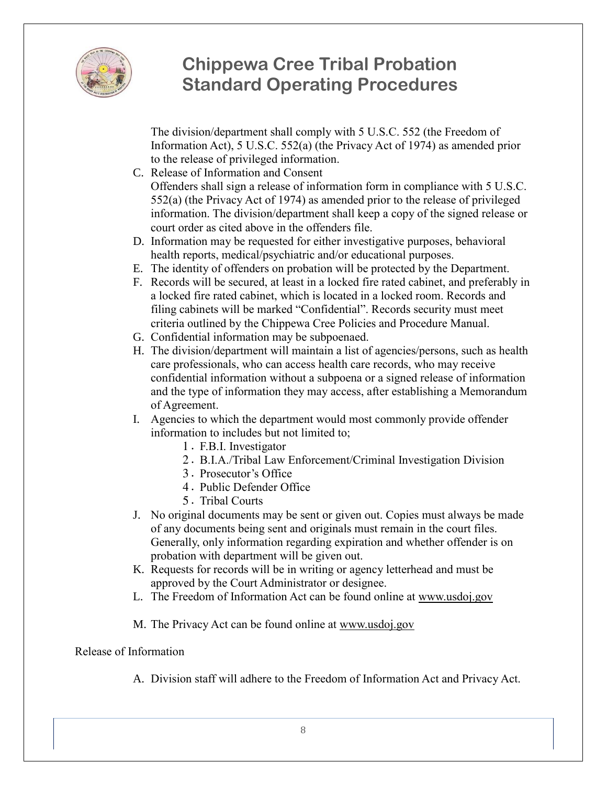

The division/department shall comply with 5 U.S.C. 552 (the Freedom of Information Act), 5 U.S.C. 552(a) (the Privacy Act of 1974) as amended prior to the release of privileged information.

- C. Release of Information and Consent Offenders shall sign a release of information form in compliance with 5 U.S.C. 552(a) (the Privacy Act of 1974) as amended prior to the release of privileged information. The division/department shall keep a copy of the signed release or court order as cited above in the offenders file.
- D. Information may be requested for either investigative purposes, behavioral health reports, medical/psychiatric and/or educational purposes.
- E. The identity of offenders on probation will be protected by the Department.
- F. Records will be secured, at least in a locked fire rated cabinet, and preferably in a locked fire rated cabinet, which is located in a locked room. Records and filing cabinets will be marked "Confidential". Records security must meet criteria outlined by the Chippewa Cree Policies and Procedure Manual.
- G. Confidential information may be subpoenaed.
- H. The division/department will maintain a list of agencies/persons, such as health care professionals, who can access health care records, who may receive confidential information without a subpoena or a signed release of information and the type of information they may access, after establishing a Memorandum of Agreement.
- I. Agencies to which the department would most commonly provide offender information to includes but not limited to;
	- 1. F.B.I. Investigator
	- 2. B.I.A./Tribal Law Enforcement/Criminal Investigation Division
	- 3. Prosecutor's Office
	- 4. Public Defender Office
	- 5. Tribal Courts
- J. No original documents may be sent or given out. Copies must always be made of any documents being sent and originals must remain in the court files. Generally, only information regarding expiration and whether offender is on probation with department will be given out.
- K. Requests for records will be in writing or agency letterhead and must be approved by the Court Administrator or designee.
- L. The Freedom of Information Act can be found online at [www.usdoj.gov](http://www.usdoj.gov/)
- M. The Privacy Act can be found online at [www.usdoj.gov](http://www.usdoj.gov/)

Release of Information

A. Division staff will adhere to the Freedom of Information Act and Privacy Act.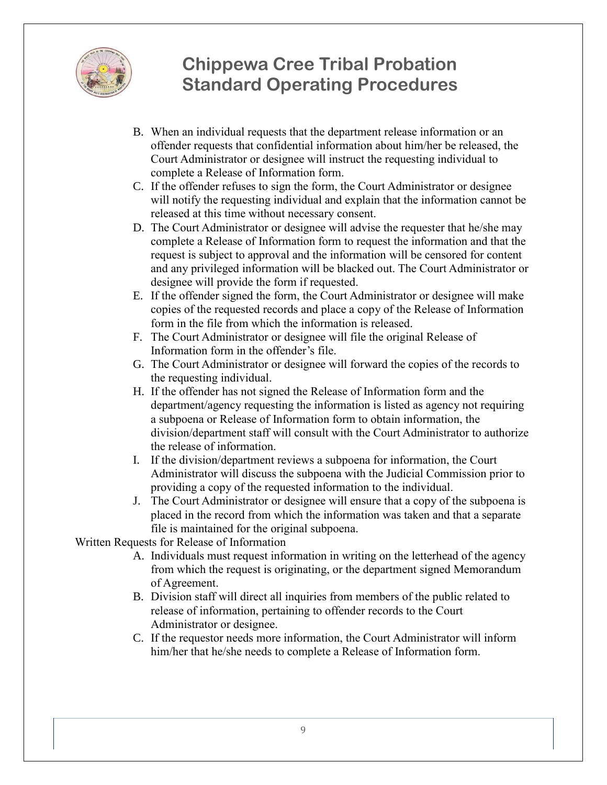

- B. When an individual requests that the department release information or an offender requests that confidential information about him/her be released, the Court Administrator or designee will instruct the requesting individual to complete a Release of Information form.
- C. If the offender refuses to sign the form, the Court Administrator or designee will notify the requesting individual and explain that the information cannot be released at this time without necessary consent.
- D. The Court Administrator or designee will advise the requester that he/she may complete a Release of Information form to request the information and that the request is subject to approval and the information will be censored for content and any privileged information will be blacked out. The Court Administrator or designee will provide the form if requested.
- E. If the offender signed the form, the Court Administrator or designee will make copies of the requested records and place a copy of the Release of Information form in the file from which the information is released.
- F. The Court Administrator or designee will file the original Release of Information form in the offender's file.
- G. The Court Administrator or designee will forward the copies of the records to the requesting individual.
- H. If the offender has not signed the Release of Information form and the department/agency requesting the information is listed as agency not requiring a subpoena or Release of Information form to obtain information, the division/department staff will consult with the Court Administrator to authorize the release of information.
- I. If the division/department reviews a subpoena for information, the Court Administrator will discuss the subpoena with the Judicial Commission prior to providing a copy of the requested information to the individual.
- J. The Court Administrator or designee will ensure that a copy of the subpoena is placed in the record from which the information was taken and that a separate file is maintained for the original subpoena.

Written Requests for Release of Information

- A. Individuals must request information in writing on the letterhead of the agency from which the request is originating, or the department signed Memorandum of Agreement.
- B. Division staff will direct all inquiries from members of the public related to release of information, pertaining to offender records to the Court Administrator or designee.
- C. If the requestor needs more information, the Court Administrator will inform him/her that he/she needs to complete a Release of Information form.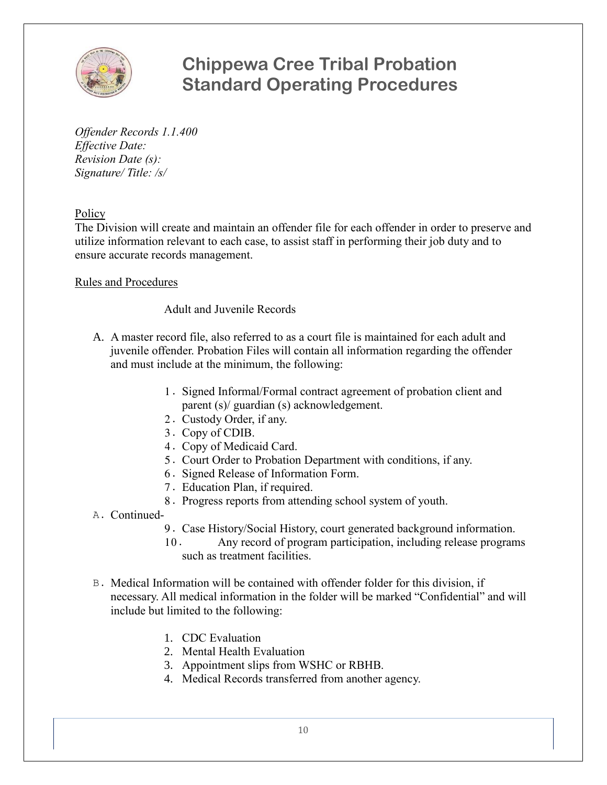

*Offender Records 1.1.400 Effective Date: Revision Date (s): Signature/ Title: /s/*

**Policy** 

The Division will create and maintain an offender file for each offender in order to preserve and utilize information relevant to each case, to assist staff in performing their job duty and to ensure accurate records management.

#### Rules and Procedures

#### Adult and Juvenile Records

- A. A master record file, also referred to as a court file is maintained for each adult and juvenile offender. Probation Files will contain all information regarding the offender and must include at the minimum, the following:
	- 1. Signed Informal/Formal contract agreement of probation client and parent (s)/ guardian (s) acknowledgement.
	- 2. Custody Order, if any.
	- 3. Copy of CDIB.
	- 4. Copy of Medicaid Card.
	- 5. Court Order to Probation Department with conditions, if any.
	- 6. Signed Release of Information Form.
	- 7. Education Plan, if required.
	- 8. Progress reports from attending school system of youth.
- A. Continued-
	- 9. Case History/Social History, court generated background information.
	- 10. Any record of program participation, including release programs such as treatment facilities.
- B. Medical Information will be contained with offender folder for this division, if necessary. All medical information in the folder will be marked "Confidential" and will include but limited to the following:
	- 1. CDC Evaluation
	- 2. Mental Health Evaluation
	- 3. Appointment slips from WSHC or RBHB.
	- 4. Medical Records transferred from another agency.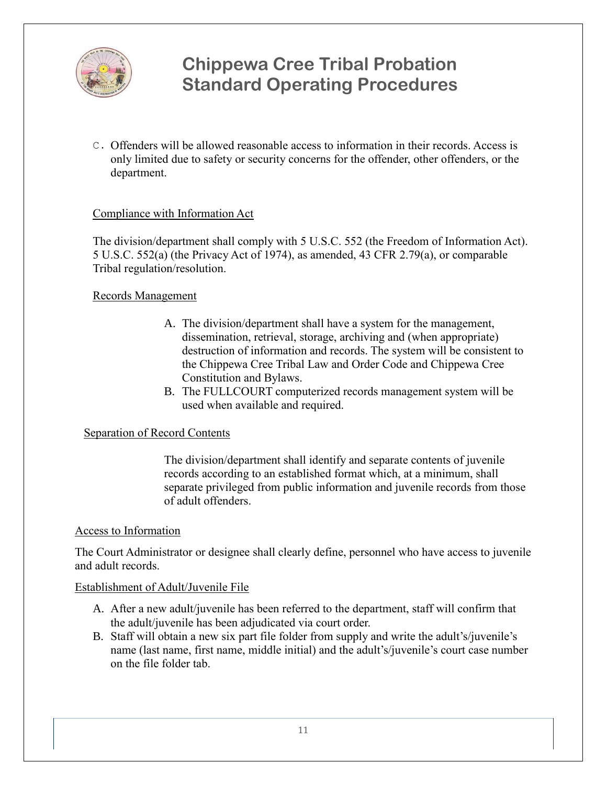

C. Offenders will be allowed reasonable access to information in their records. Access is only limited due to safety or security concerns for the offender, other offenders, or the department.

#### Compliance with Information Act

The division/department shall comply with 5 U.S.C. 552 (the Freedom of Information Act). 5 U.S.C. 552(a) (the Privacy Act of 1974), as amended, 43 CFR 2.79(a), or comparable Tribal regulation/resolution.

#### Records Management

- A. The division/department shall have a system for the management, dissemination, retrieval, storage, archiving and (when appropriate) destruction of information and records. The system will be consistent to the Chippewa Cree Tribal Law and Order Code and Chippewa Cree Constitution and Bylaws.
- B. The FULLCOURT computerized records management system will be used when available and required.

#### Separation of Record Contents

The division/department shall identify and separate contents of juvenile records according to an established format which, at a minimum, shall separate privileged from public information and juvenile records from those of adult offenders.

#### Access to Information

The Court Administrator or designee shall clearly define, personnel who have access to juvenile and adult records.

#### Establishment of Adult/Juvenile File

- A. After a new adult/juvenile has been referred to the department, staff will confirm that the adult/juvenile has been adjudicated via court order.
- B. Staff will obtain a new six part file folder from supply and write the adult's/juvenile's name (last name, first name, middle initial) and the adult's/juvenile's court case number on the file folder tab.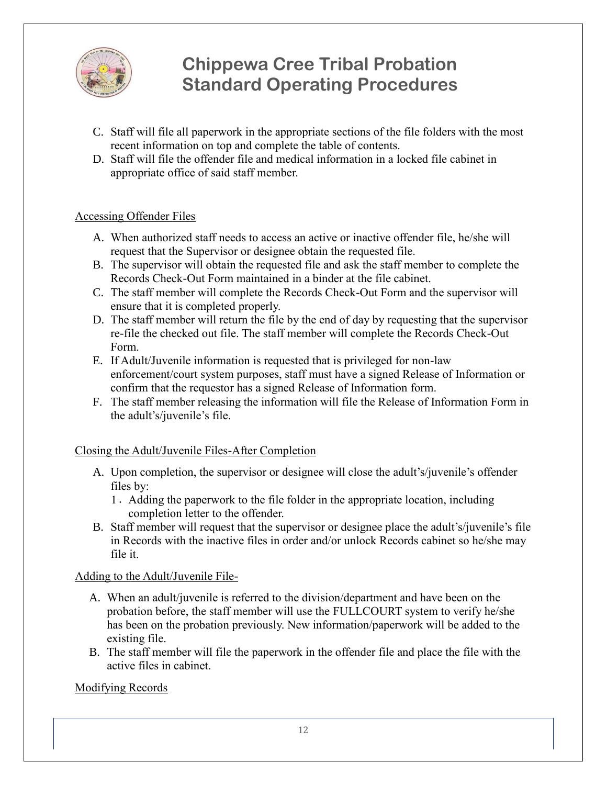

- C. Staff will file all paperwork in the appropriate sections of the file folders with the most recent information on top and complete the table of contents.
- D. Staff will file the offender file and medical information in a locked file cabinet in appropriate office of said staff member.

#### Accessing Offender Files

- A. When authorized staff needs to access an active or inactive offender file, he/she will request that the Supervisor or designee obtain the requested file.
- B. The supervisor will obtain the requested file and ask the staff member to complete the Records Check-Out Form maintained in a binder at the file cabinet.
- C. The staff member will complete the Records Check-Out Form and the supervisor will ensure that it is completed properly.
- D. The staff member will return the file by the end of day by requesting that the supervisor re-file the checked out file. The staff member will complete the Records Check-Out Form.
- E. If Adult/Juvenile information is requested that is privileged for non-law enforcement/court system purposes, staff must have a signed Release of Information or confirm that the requestor has a signed Release of Information form.
- F. The staff member releasing the information will file the Release of Information Form in the adult's/juvenile's file.

#### Closing the Adult/Juvenile Files-After Completion

- A. Upon completion, the supervisor or designee will close the adult's/juvenile's offender files by:
	- 1. Adding the paperwork to the file folder in the appropriate location, including completion letter to the offender.
- B. Staff member will request that the supervisor or designee place the adult's/juvenile's file in Records with the inactive files in order and/or unlock Records cabinet so he/she may file it.

#### Adding to the Adult/Juvenile File-

- A. When an adult/juvenile is referred to the division/department and have been on the probation before, the staff member will use the FULLCOURT system to verify he/she has been on the probation previously. New information/paperwork will be added to the existing file.
- B. The staff member will file the paperwork in the offender file and place the file with the active files in cabinet.

#### Modifying Records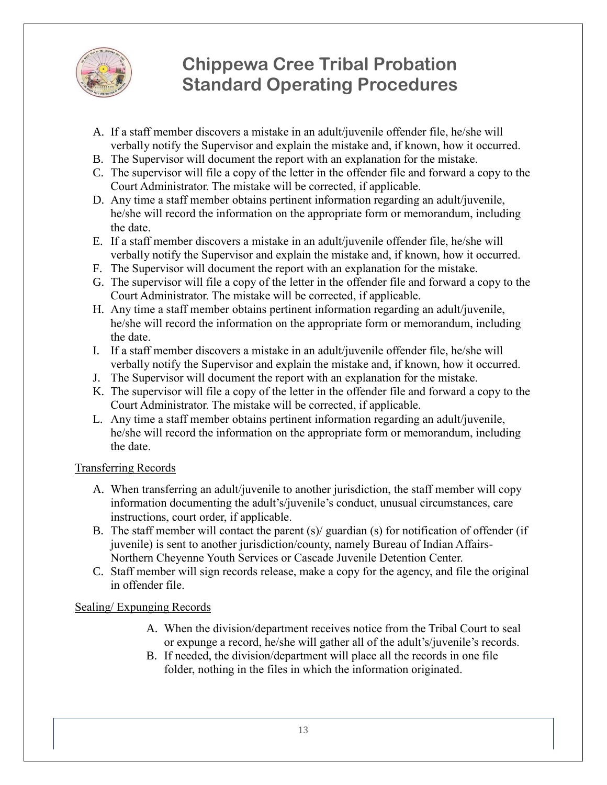

- A. If a staff member discovers a mistake in an adult/juvenile offender file, he/she will verbally notify the Supervisor and explain the mistake and, if known, how it occurred.
- B. The Supervisor will document the report with an explanation for the mistake.
- C. The supervisor will file a copy of the letter in the offender file and forward a copy to the Court Administrator. The mistake will be corrected, if applicable.
- D. Any time a staff member obtains pertinent information regarding an adult/juvenile, he/she will record the information on the appropriate form or memorandum, including the date.
- E. If a staff member discovers a mistake in an adult/juvenile offender file, he/she will verbally notify the Supervisor and explain the mistake and, if known, how it occurred.
- F. The Supervisor will document the report with an explanation for the mistake.
- G. The supervisor will file a copy of the letter in the offender file and forward a copy to the Court Administrator. The mistake will be corrected, if applicable.
- H. Any time a staff member obtains pertinent information regarding an adult/juvenile, he/she will record the information on the appropriate form or memorandum, including the date.
- I. If a staff member discovers a mistake in an adult/juvenile offender file, he/she will verbally notify the Supervisor and explain the mistake and, if known, how it occurred.
- J. The Supervisor will document the report with an explanation for the mistake.
- K. The supervisor will file a copy of the letter in the offender file and forward a copy to the Court Administrator. The mistake will be corrected, if applicable.
- L. Any time a staff member obtains pertinent information regarding an adult/juvenile, he/she will record the information on the appropriate form or memorandum, including the date.

### Transferring Records

- A. When transferring an adult/juvenile to another jurisdiction, the staff member will copy information documenting the adult's/juvenile's conduct, unusual circumstances, care instructions, court order, if applicable.
- B. The staff member will contact the parent (s)/ guardian (s) for notification of offender (if juvenile) is sent to another jurisdiction/county, namely Bureau of Indian Affairs-Northern Cheyenne Youth Services or Cascade Juvenile Detention Center.
- C. Staff member will sign records release, make a copy for the agency, and file the original in offender file.

### Sealing/ Expunging Records

- A. When the division/department receives notice from the Tribal Court to seal or expunge a record, he/she will gather all of the adult's/juvenile's records.
- B. If needed, the division/department will place all the records in one file folder, nothing in the files in which the information originated.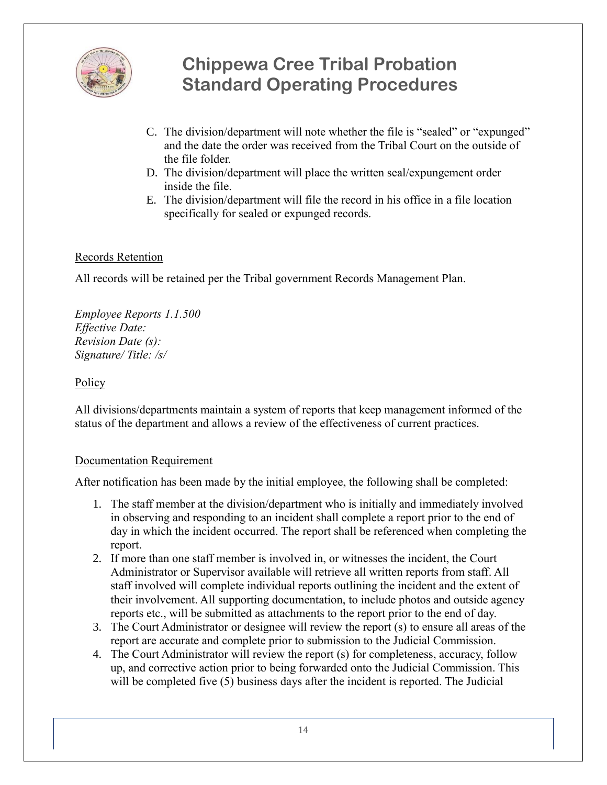

- C. The division/department will note whether the file is "sealed" or "expunged" and the date the order was received from the Tribal Court on the outside of the file folder.
- D. The division/department will place the written seal/expungement order inside the file.
- E. The division/department will file the record in his office in a file location specifically for sealed or expunged records.

### Records Retention

All records will be retained per the Tribal government Records Management Plan.

*Employee Reports 1.1.500 Effective Date: Revision Date (s): Signature/ Title: /s/*

#### **Policy**

All divisions/departments maintain a system of reports that keep management informed of the status of the department and allows a review of the effectiveness of current practices.

#### Documentation Requirement

After notification has been made by the initial employee, the following shall be completed:

- 1. The staff member at the division/department who is initially and immediately involved in observing and responding to an incident shall complete a report prior to the end of day in which the incident occurred. The report shall be referenced when completing the report.
- 2. If more than one staff member is involved in, or witnesses the incident, the Court Administrator or Supervisor available will retrieve all written reports from staff. All staff involved will complete individual reports outlining the incident and the extent of their involvement. All supporting documentation, to include photos and outside agency reports etc., will be submitted as attachments to the report prior to the end of day.
- 3. The Court Administrator or designee will review the report (s) to ensure all areas of the report are accurate and complete prior to submission to the Judicial Commission.
- 4. The Court Administrator will review the report (s) for completeness, accuracy, follow up, and corrective action prior to being forwarded onto the Judicial Commission. This will be completed five (5) business days after the incident is reported. The Judicial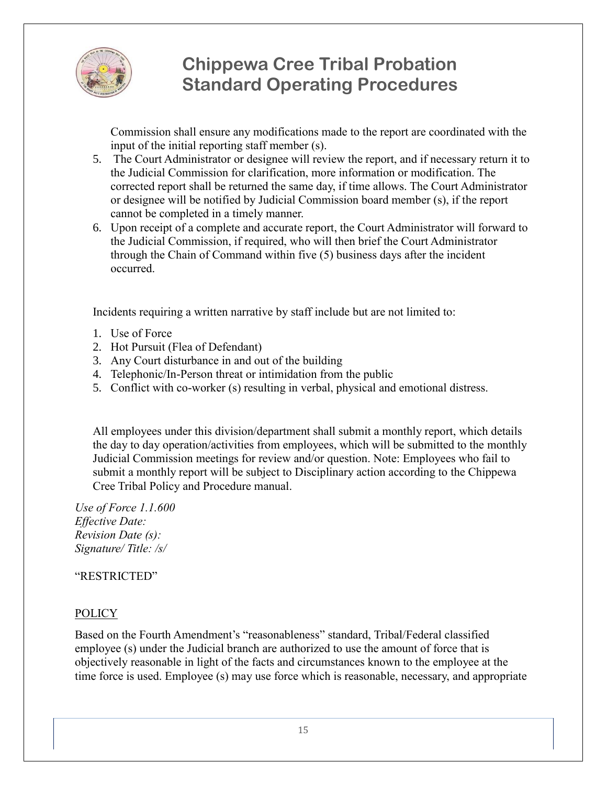

Commission shall ensure any modifications made to the report are coordinated with the input of the initial reporting staff member (s).

- 5. The Court Administrator or designee will review the report, and if necessary return it to the Judicial Commission for clarification, more information or modification. The corrected report shall be returned the same day, if time allows. The Court Administrator or designee will be notified by Judicial Commission board member (s), if the report cannot be completed in a timely manner.
- 6. Upon receipt of a complete and accurate report, the Court Administrator will forward to the Judicial Commission, if required, who will then brief the Court Administrator through the Chain of Command within five (5) business days after the incident occurred.

Incidents requiring a written narrative by staff include but are not limited to:

- 1. Use of Force
- 2. Hot Pursuit (Flea of Defendant)
- 3. Any Court disturbance in and out of the building
- 4. Telephonic/In-Person threat or intimidation from the public
- 5. Conflict with co-worker (s) resulting in verbal, physical and emotional distress.

All employees under this division/department shall submit a monthly report, which details the day to day operation/activities from employees, which will be submitted to the monthly Judicial Commission meetings for review and/or question. Note: Employees who fail to submit a monthly report will be subject to Disciplinary action according to the Chippewa Cree Tribal Policy and Procedure manual.

*Use of Force 1.1.600 Effective Date: Revision Date (s): Signature/ Title: /s/*

#### "RESTRICTED"

### POLICY

Based on the Fourth Amendment's "reasonableness" standard, Tribal/Federal classified employee (s) under the Judicial branch are authorized to use the amount of force that is objectively reasonable in light of the facts and circumstances known to the employee at the time force is used. Employee (s) may use force which is reasonable, necessary, and appropriate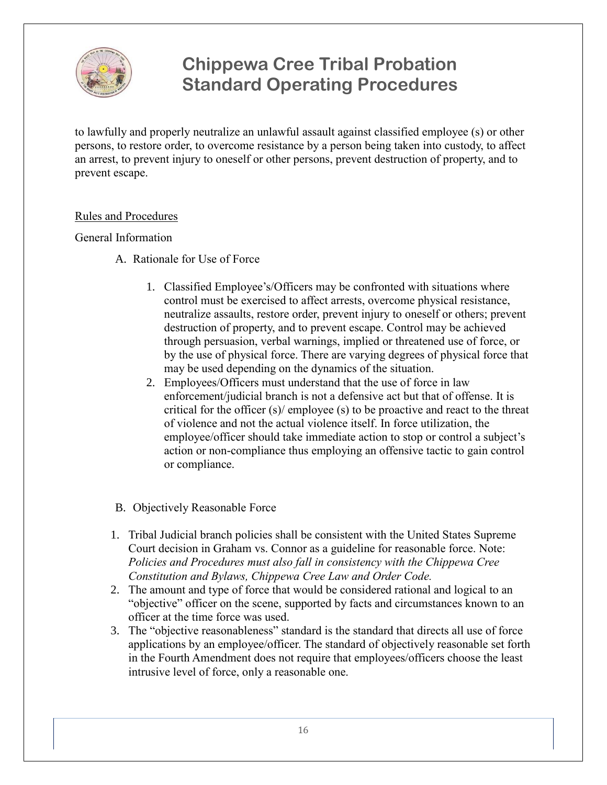

to lawfully and properly neutralize an unlawful assault against classified employee (s) or other persons, to restore order, to overcome resistance by a person being taken into custody, to affect an arrest, to prevent injury to oneself or other persons, prevent destruction of property, and to prevent escape.

#### Rules and Procedures

#### General Information

- A. Rationale for Use of Force
	- 1. Classified Employee's/Officers may be confronted with situations where control must be exercised to affect arrests, overcome physical resistance, neutralize assaults, restore order, prevent injury to oneself or others; prevent destruction of property, and to prevent escape. Control may be achieved through persuasion, verbal warnings, implied or threatened use of force, or by the use of physical force. There are varying degrees of physical force that may be used depending on the dynamics of the situation.
	- 2. Employees/Officers must understand that the use of force in law enforcement/judicial branch is not a defensive act but that of offense. It is critical for the officer (s)/ employee (s) to be proactive and react to the threat of violence and not the actual violence itself. In force utilization, the employee/officer should take immediate action to stop or control a subject's action or non-compliance thus employing an offensive tactic to gain control or compliance.
- B. Objectively Reasonable Force
- 1. Tribal Judicial branch policies shall be consistent with the United States Supreme Court decision in Graham vs. Connor as a guideline for reasonable force. Note: *Policies and Procedures must also fall in consistency with the Chippewa Cree Constitution and Bylaws, Chippewa Cree Law and Order Code.*
- 2. The amount and type of force that would be considered rational and logical to an "objective" officer on the scene, supported by facts and circumstances known to an officer at the time force was used.
- 3. The "objective reasonableness" standard is the standard that directs all use of force applications by an employee/officer. The standard of objectively reasonable set forth in the Fourth Amendment does not require that employees/officers choose the least intrusive level of force, only a reasonable one.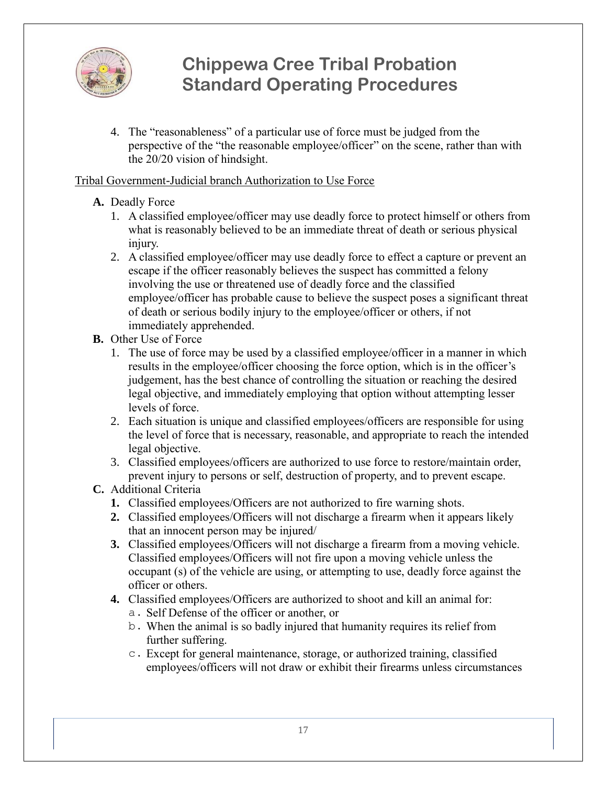

4. The "reasonableness" of a particular use of force must be judged from the perspective of the "the reasonable employee/officer" on the scene, rather than with the 20/20 vision of hindsight.

### Tribal Government-Judicial branch Authorization to Use Force

### **A.** Deadly Force

- 1. A classified employee/officer may use deadly force to protect himself or others from what is reasonably believed to be an immediate threat of death or serious physical injury.
- 2. A classified employee/officer may use deadly force to effect a capture or prevent an escape if the officer reasonably believes the suspect has committed a felony involving the use or threatened use of deadly force and the classified employee/officer has probable cause to believe the suspect poses a significant threat of death or serious bodily injury to the employee/officer or others, if not immediately apprehended.
- **B.** Other Use of Force
	- 1. The use of force may be used by a classified employee/officer in a manner in which results in the employee/officer choosing the force option, which is in the officer's judgement, has the best chance of controlling the situation or reaching the desired legal objective, and immediately employing that option without attempting lesser levels of force.
	- 2. Each situation is unique and classified employees/officers are responsible for using the level of force that is necessary, reasonable, and appropriate to reach the intended legal objective.
	- 3. Classified employees/officers are authorized to use force to restore/maintain order, prevent injury to persons or self, destruction of property, and to prevent escape.

### **C.** Additional Criteria

- **1.** Classified employees/Officers are not authorized to fire warning shots.
- **2.** Classified employees/Officers will not discharge a firearm when it appears likely that an innocent person may be injured/
- **3.** Classified employees/Officers will not discharge a firearm from a moving vehicle. Classified employees/Officers will not fire upon a moving vehicle unless the occupant (s) of the vehicle are using, or attempting to use, deadly force against the officer or others.
- **4.** Classified employees/Officers are authorized to shoot and kill an animal for:
	- a. Self Defense of the officer or another, or
	- b. When the animal is so badly injured that humanity requires its relief from further suffering.
	- c. Except for general maintenance, storage, or authorized training, classified employees/officers will not draw or exhibit their firearms unless circumstances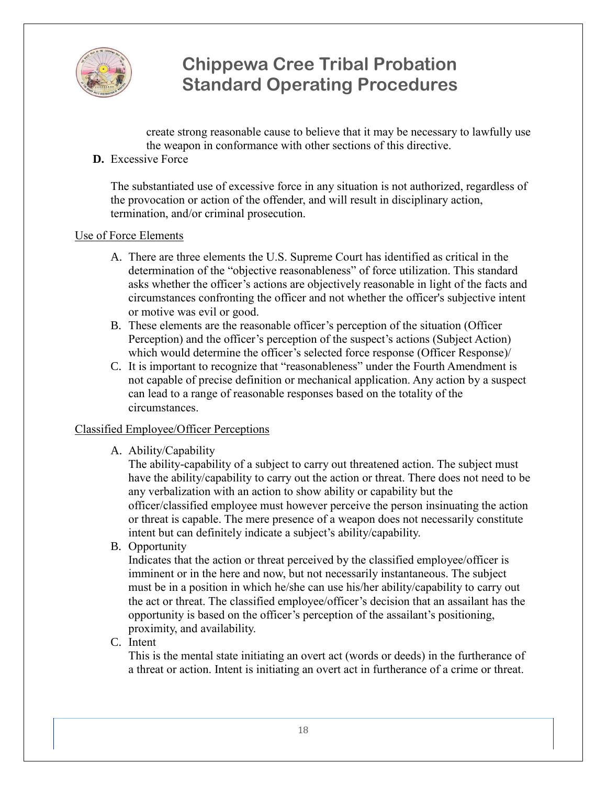

create strong reasonable cause to believe that it may be necessary to lawfully use the weapon in conformance with other sections of this directive.

**D.** Excessive Force

The substantiated use of excessive force in any situation is not authorized, regardless of the provocation or action of the offender, and will result in disciplinary action, termination, and/or criminal prosecution.

#### Use of Force Elements

- A. There are three elements the U.S. Supreme Court has identified as critical in the determination of the "objective reasonableness" of force utilization. This standard asks whether the officer's actions are objectively reasonable in light of the facts and circumstances confronting the officer and not whether the officer's subjective intent or motive was evil or good.
- B. These elements are the reasonable officer's perception of the situation (Officer Perception) and the officer's perception of the suspect's actions (Subject Action) which would determine the officer's selected force response (Officer Response)/
- C. It is important to recognize that "reasonableness" under the Fourth Amendment is not capable of precise definition or mechanical application. Any action by a suspect can lead to a range of reasonable responses based on the totality of the circumstances.

### Classified Employee/Officer Perceptions

A. Ability/Capability

The ability-capability of a subject to carry out threatened action. The subject must have the ability/capability to carry out the action or threat. There does not need to be any verbalization with an action to show ability or capability but the officer/classified employee must however perceive the person insinuating the action or threat is capable. The mere presence of a weapon does not necessarily constitute intent but can definitely indicate a subject's ability/capability.

B. Opportunity

Indicates that the action or threat perceived by the classified employee/officer is imminent or in the here and now, but not necessarily instantaneous. The subject must be in a position in which he/she can use his/her ability/capability to carry out the act or threat. The classified employee/officer's decision that an assailant has the opportunity is based on the officer's perception of the assailant's positioning, proximity, and availability.

C. Intent

This is the mental state initiating an overt act (words or deeds) in the furtherance of a threat or action. Intent is initiating an overt act in furtherance of a crime or threat.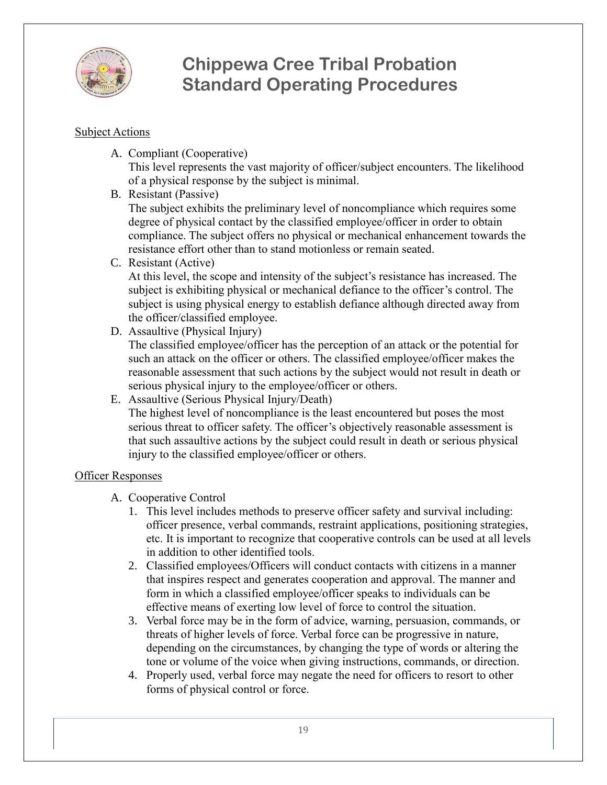

#### Subject Actions

A. Compliant (Cooperative)

This level represents the vast majority of officer/subject encounters. The likelihood of a physical response by the subject is minimal.

B. Resistant (Passive)

The subject exhibits the preliminary level of noncompliance which requires some degree of physical contact by the classified employee/officer in order to obtain compliance. The subject offers no physical or mechanical enhancement towards the resistance effort other than to stand motionless or remain seated.

C. Resistant (Active)

At this level, the scope and intensity of the subject's resistance has increased. The subject is exhibiting physical or mechanical defiance to the officer's control. The subject is using physical energy to establish defiance although directed away from the officer/classified employee.

D. Assaultive (Physical Injury)

The classified employee/officer has the perception of an attack or the potential for such an attack on the officer or others. The classified employee/officer makes the reasonable assessment that such actions by the subject would not result in death or serious physical injury to the employee/officer or others.

E. Assaultive (Serious Physical Injury/Death)

The highest level of noncompliance is the least encountered but poses the most serious threat to officer safety. The officer's objectively reasonable assessment is that such assaultive actions by the subject could result in death or serious physical injury to the classified employee/officer or others.

### Officer Responses

- A. Cooperative Control
	- 1. This level includes methods to preserve officer safety and survival including: officer presence, verbal commands, restraint applications, positioning strategies, etc. It is important to recognize that cooperative controls can be used at all levels in addition to other identified tools.
	- 2. Classified employees/Officers will conduct contacts with citizens in a manner that inspires respect and generates cooperation and approval. The manner and form in which a classified employee/officer speaks to individuals can be effective means of exerting low level of force to control the situation.
	- 3. Verbal force may be in the form of advice, warning, persuasion, commands, or threats of higher levels of force. Verbal force can be progressive in nature, depending on the circumstances, by changing the type of words or altering the tone or volume of the voice when giving instructions, commands, or direction.
	- 4. Properly used, verbal force may negate the need for officers to resort to other forms of physical control or force.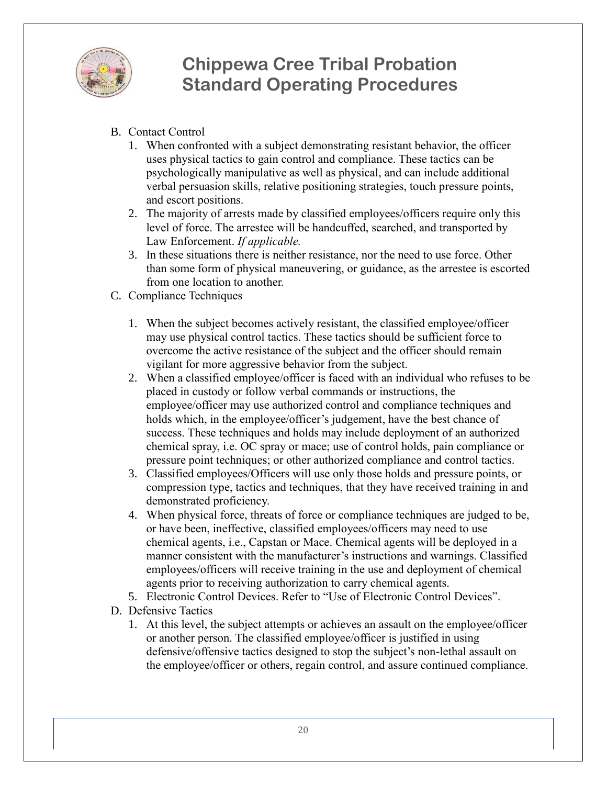

- B. Contact Control
	- 1. When confronted with a subject demonstrating resistant behavior, the officer uses physical tactics to gain control and compliance. These tactics can be psychologically manipulative as well as physical, and can include additional verbal persuasion skills, relative positioning strategies, touch pressure points, and escort positions.
	- 2. The majority of arrests made by classified employees/officers require only this level of force. The arrestee will be handcuffed, searched, and transported by Law Enforcement. *If applicable.*
	- 3. In these situations there is neither resistance, nor the need to use force. Other than some form of physical maneuvering, or guidance, as the arrestee is escorted from one location to another.
- C. Compliance Techniques
	- 1. When the subject becomes actively resistant, the classified employee/officer may use physical control tactics. These tactics should be sufficient force to overcome the active resistance of the subject and the officer should remain vigilant for more aggressive behavior from the subject.
	- 2. When a classified employee/officer is faced with an individual who refuses to be placed in custody or follow verbal commands or instructions, the employee/officer may use authorized control and compliance techniques and holds which, in the employee/officer's judgement, have the best chance of success. These techniques and holds may include deployment of an authorized chemical spray, i.e. OC spray or mace; use of control holds, pain compliance or pressure point techniques; or other authorized compliance and control tactics.
	- 3. Classified employees/Officers will use only those holds and pressure points, or compression type, tactics and techniques, that they have received training in and demonstrated proficiency.
	- 4. When physical force, threats of force or compliance techniques are judged to be, or have been, ineffective, classified employees/officers may need to use chemical agents, i.e., Capstan or Mace. Chemical agents will be deployed in a manner consistent with the manufacturer's instructions and warnings. Classified employees/officers will receive training in the use and deployment of chemical agents prior to receiving authorization to carry chemical agents.
	- 5. Electronic Control Devices. Refer to "Use of Electronic Control Devices".
- D. Defensive Tactics
	- 1. At this level, the subject attempts or achieves an assault on the employee/officer or another person. The classified employee/officer is justified in using defensive/offensive tactics designed to stop the subject's non-lethal assault on the employee/officer or others, regain control, and assure continued compliance.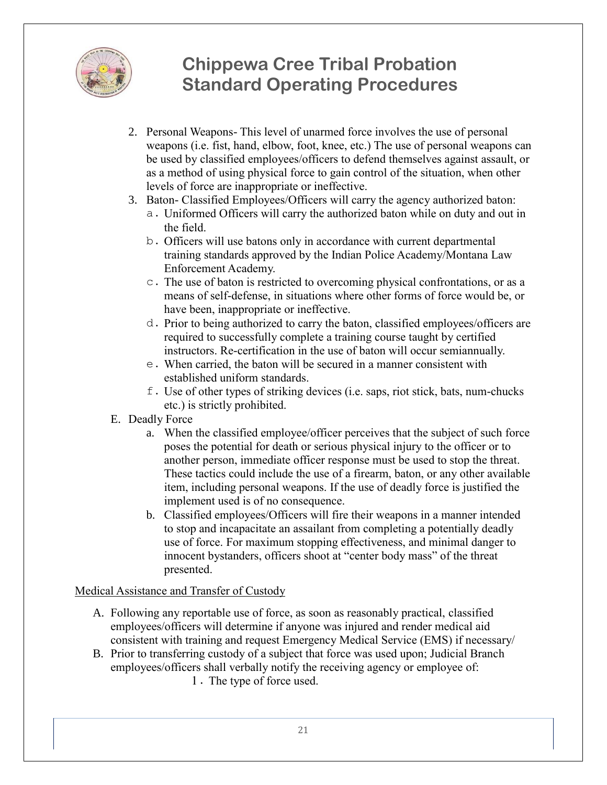

- 2. Personal Weapons- This level of unarmed force involves the use of personal weapons (i.e. fist, hand, elbow, foot, knee, etc.) The use of personal weapons can be used by classified employees/officers to defend themselves against assault, or as a method of using physical force to gain control of the situation, when other levels of force are inappropriate or ineffective.
- 3. Baton- Classified Employees/Officers will carry the agency authorized baton:
	- a. Uniformed Officers will carry the authorized baton while on duty and out in the field.
	- b. Officers will use batons only in accordance with current departmental training standards approved by the Indian Police Academy/Montana Law Enforcement Academy.
	- c. The use of baton is restricted to overcoming physical confrontations, or as a means of self-defense, in situations where other forms of force would be, or have been, inappropriate or ineffective.
	- d. Prior to being authorized to carry the baton, classified employees/officers are required to successfully complete a training course taught by certified instructors. Re-certification in the use of baton will occur semiannually.
	- e. When carried, the baton will be secured in a manner consistent with established uniform standards.
	- f. Use of other types of striking devices (i.e. saps, riot stick, bats, num-chucks etc.) is strictly prohibited.
- E. Deadly Force
	- a. When the classified employee/officer perceives that the subject of such force poses the potential for death or serious physical injury to the officer or to another person, immediate officer response must be used to stop the threat. These tactics could include the use of a firearm, baton, or any other available item, including personal weapons. If the use of deadly force is justified the implement used is of no consequence.
	- b. Classified employees/Officers will fire their weapons in a manner intended to stop and incapacitate an assailant from completing a potentially deadly use of force. For maximum stopping effectiveness, and minimal danger to innocent bystanders, officers shoot at "center body mass" of the threat presented.

#### Medical Assistance and Transfer of Custody

- A. Following any reportable use of force, as soon as reasonably practical, classified employees/officers will determine if anyone was injured and render medical aid consistent with training and request Emergency Medical Service (EMS) if necessary/
- B. Prior to transferring custody of a subject that force was used upon; Judicial Branch employees/officers shall verbally notify the receiving agency or employee of:
	- 1. The type of force used.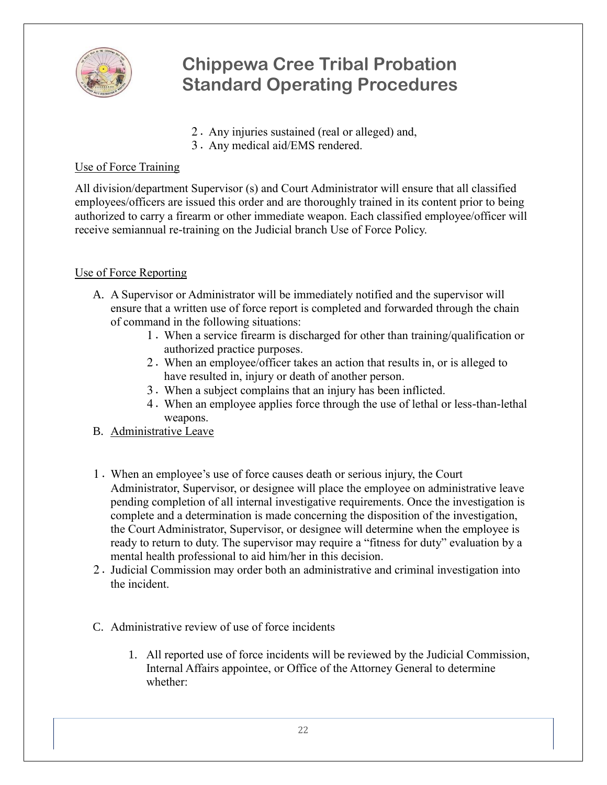

- 2. Any injuries sustained (real or alleged) and,
- 3. Any medical aid/EMS rendered.

### Use of Force Training

All division/department Supervisor (s) and Court Administrator will ensure that all classified employees/officers are issued this order and are thoroughly trained in its content prior to being authorized to carry a firearm or other immediate weapon. Each classified employee/officer will receive semiannual re-training on the Judicial branch Use of Force Policy.

### Use of Force Reporting

- A. A Supervisor or Administrator will be immediately notified and the supervisor will ensure that a written use of force report is completed and forwarded through the chain of command in the following situations:
	- 1. When a service firearm is discharged for other than training/qualification or authorized practice purposes.
	- 2. When an employee/officer takes an action that results in, or is alleged to have resulted in, injury or death of another person.
	- 3. When a subject complains that an injury has been inflicted.
	- 4. When an employee applies force through the use of lethal or less-than-lethal weapons.
- B. Administrative Leave
- 1. When an employee's use of force causes death or serious injury, the Court Administrator, Supervisor, or designee will place the employee on administrative leave pending completion of all internal investigative requirements. Once the investigation is complete and a determination is made concerning the disposition of the investigation, the Court Administrator, Supervisor, or designee will determine when the employee is ready to return to duty. The supervisor may require a "fitness for duty" evaluation by a mental health professional to aid him/her in this decision.
- 2. Judicial Commission may order both an administrative and criminal investigation into the incident.
- C. Administrative review of use of force incidents
	- 1. All reported use of force incidents will be reviewed by the Judicial Commission, Internal Affairs appointee, or Office of the Attorney General to determine whether: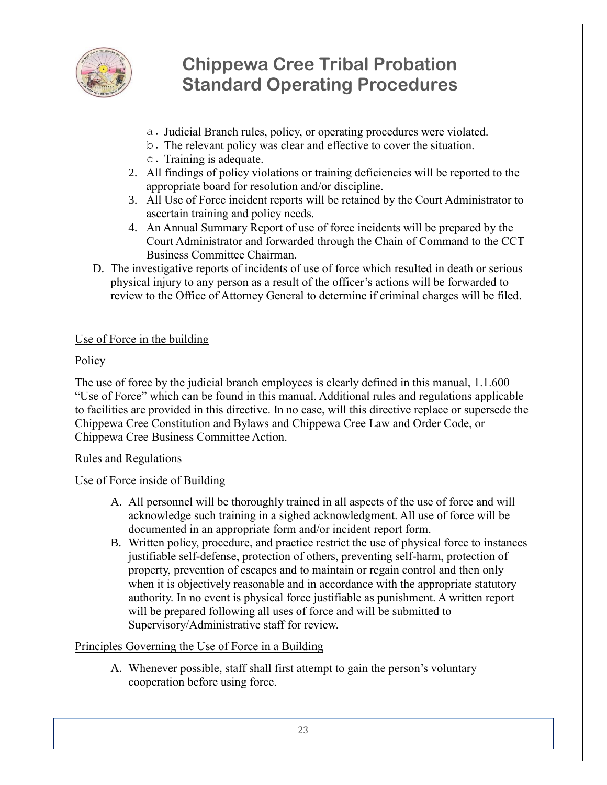

- a. Judicial Branch rules, policy, or operating procedures were violated.
- b. The relevant policy was clear and effective to cover the situation.
- c. Training is adequate.
- 2. All findings of policy violations or training deficiencies will be reported to the appropriate board for resolution and/or discipline.
- 3. All Use of Force incident reports will be retained by the Court Administrator to ascertain training and policy needs.
- 4. An Annual Summary Report of use of force incidents will be prepared by the Court Administrator and forwarded through the Chain of Command to the CCT Business Committee Chairman.
- D. The investigative reports of incidents of use of force which resulted in death or serious physical injury to any person as a result of the officer's actions will be forwarded to review to the Office of Attorney General to determine if criminal charges will be filed.

#### Use of Force in the building

#### **Policy**

The use of force by the judicial branch employees is clearly defined in this manual, 1.1.600 "Use of Force" which can be found in this manual. Additional rules and regulations applicable to facilities are provided in this directive. In no case, will this directive replace or supersede the Chippewa Cree Constitution and Bylaws and Chippewa Cree Law and Order Code, or Chippewa Cree Business Committee Action.

#### Rules and Regulations

Use of Force inside of Building

- A. All personnel will be thoroughly trained in all aspects of the use of force and will acknowledge such training in a sighed acknowledgment. All use of force will be documented in an appropriate form and/or incident report form.
- B. Written policy, procedure, and practice restrict the use of physical force to instances justifiable self-defense, protection of others, preventing self-harm, protection of property, prevention of escapes and to maintain or regain control and then only when it is objectively reasonable and in accordance with the appropriate statutory authority. In no event is physical force justifiable as punishment. A written report will be prepared following all uses of force and will be submitted to Supervisory/Administrative staff for review.

### Principles Governing the Use of Force in a Building

A. Whenever possible, staff shall first attempt to gain the person's voluntary cooperation before using force.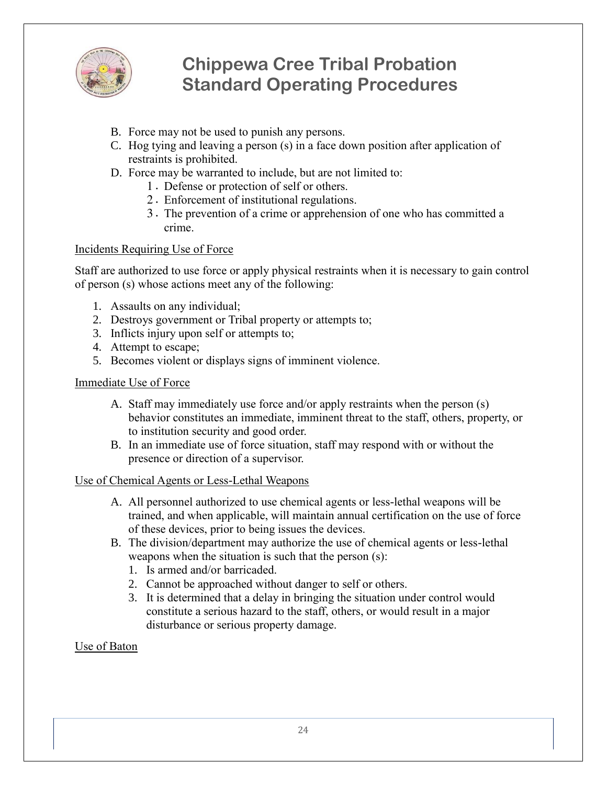

- B. Force may not be used to punish any persons.
- C. Hog tying and leaving a person (s) in a face down position after application of restraints is prohibited.
- D. Force may be warranted to include, but are not limited to:
	- 1. Defense or protection of self or others.
	- 2. Enforcement of institutional regulations.
	- 3. The prevention of a crime or apprehension of one who has committed a crime.

#### Incidents Requiring Use of Force

Staff are authorized to use force or apply physical restraints when it is necessary to gain control of person (s) whose actions meet any of the following:

- 1. Assaults on any individual;
- 2. Destroys government or Tribal property or attempts to;
- 3. Inflicts injury upon self or attempts to;
- 4. Attempt to escape;
- 5. Becomes violent or displays signs of imminent violence.

#### Immediate Use of Force

- A. Staff may immediately use force and/or apply restraints when the person (s) behavior constitutes an immediate, imminent threat to the staff, others, property, or to institution security and good order.
- B. In an immediate use of force situation, staff may respond with or without the presence or direction of a supervisor.

#### Use of Chemical Agents or Less-Lethal Weapons

- A. All personnel authorized to use chemical agents or less-lethal weapons will be trained, and when applicable, will maintain annual certification on the use of force of these devices, prior to being issues the devices.
- B. The division/department may authorize the use of chemical agents or less-lethal weapons when the situation is such that the person (s):
	- 1. Is armed and/or barricaded.
	- 2. Cannot be approached without danger to self or others.
	- 3. It is determined that a delay in bringing the situation under control would constitute a serious hazard to the staff, others, or would result in a major disturbance or serious property damage.

#### Use of Baton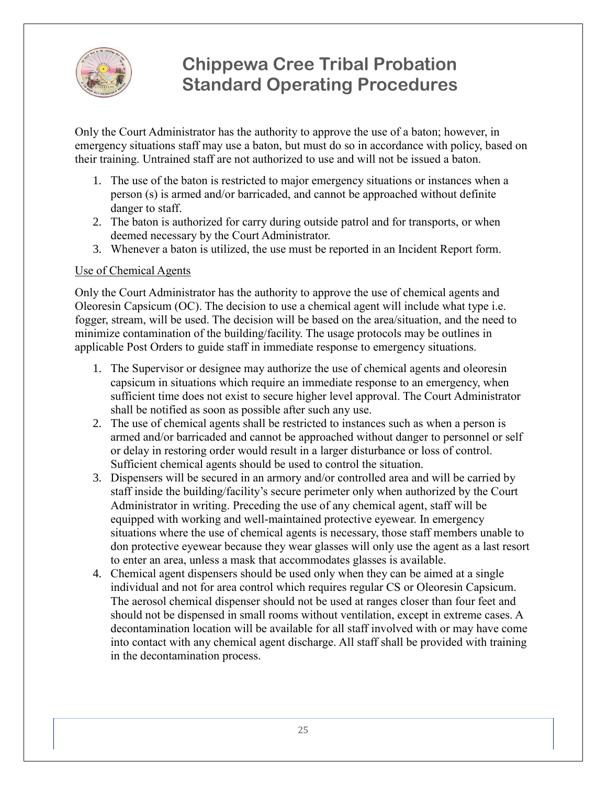

Only the Court Administrator has the authority to approve the use of a baton; however, in emergency situations staff may use a baton, but must do so in accordance with policy, based on their training. Untrained staff are not authorized to use and will not be issued a baton.

- 1. The use of the baton is restricted to major emergency situations or instances when a person (s) is armed and/or barricaded, and cannot be approached without definite danger to staff.
- 2. The baton is authorized for carry during outside patrol and for transports, or when deemed necessary by the Court Administrator.
- 3. Whenever a baton is utilized, the use must be reported in an Incident Report form.

#### Use of Chemical Agents

Only the Court Administrator has the authority to approve the use of chemical agents and Oleoresin Capsicum (OC). The decision to use a chemical agent will include what type i.e. fogger, stream, will be used. The decision will be based on the area/situation, and the need to minimize contamination of the building/facility. The usage protocols may be outlines in applicable Post Orders to guide staff in immediate response to emergency situations.

- 1. The Supervisor or designee may authorize the use of chemical agents and oleoresin capsicum in situations which require an immediate response to an emergency, when sufficient time does not exist to secure higher level approval. The Court Administrator shall be notified as soon as possible after such any use.
- 2. The use of chemical agents shall be restricted to instances such as when a person is armed and/or barricaded and cannot be approached without danger to personnel or self or delay in restoring order would result in a larger disturbance or loss of control. Sufficient chemical agents should be used to control the situation.
- 3. Dispensers will be secured in an armory and/or controlled area and will be carried by staff inside the building/facility's secure perimeter only when authorized by the Court Administrator in writing. Preceding the use of any chemical agent, staff will be equipped with working and well-maintained protective eyewear. In emergency situations where the use of chemical agents is necessary, those staff members unable to don protective eyewear because they wear glasses will only use the agent as a last resort to enter an area, unless a mask that accommodates glasses is available.
- 4. Chemical agent dispensers should be used only when they can be aimed at a single individual and not for area control which requires regular CS or Oleoresin Capsicum. The aerosol chemical dispenser should not be used at ranges closer than four feet and should not be dispensed in small rooms without ventilation, except in extreme cases. A decontamination location will be available for all staff involved with or may have come into contact with any chemical agent discharge. All staff shall be provided with training in the decontamination process.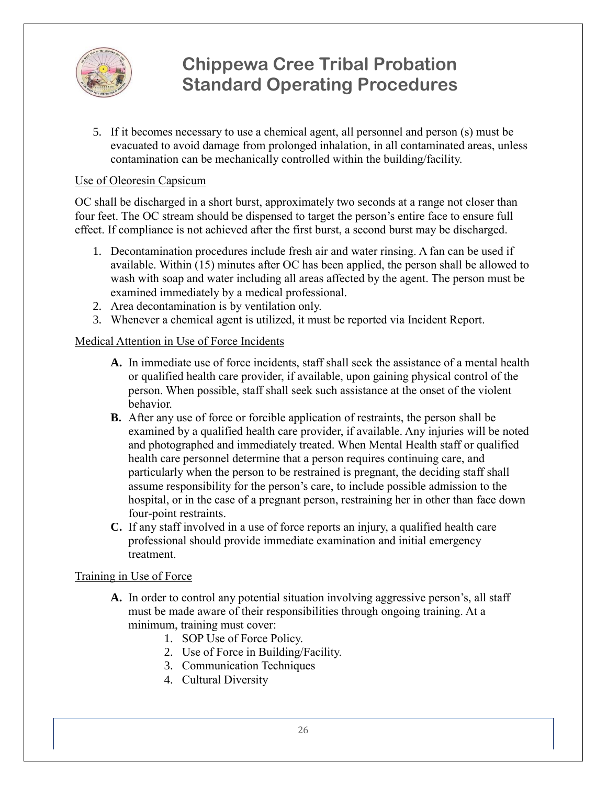

5. If it becomes necessary to use a chemical agent, all personnel and person (s) must be evacuated to avoid damage from prolonged inhalation, in all contaminated areas, unless contamination can be mechanically controlled within the building/facility.

#### Use of Oleoresin Capsicum

OC shall be discharged in a short burst, approximately two seconds at a range not closer than four feet. The OC stream should be dispensed to target the person's entire face to ensure full effect. If compliance is not achieved after the first burst, a second burst may be discharged.

- 1. Decontamination procedures include fresh air and water rinsing. A fan can be used if available. Within (15) minutes after OC has been applied, the person shall be allowed to wash with soap and water including all areas affected by the agent. The person must be examined immediately by a medical professional.
- 2. Area decontamination is by ventilation only.
- 3. Whenever a chemical agent is utilized, it must be reported via Incident Report.

#### Medical Attention in Use of Force Incidents

- **A.** In immediate use of force incidents, staff shall seek the assistance of a mental health or qualified health care provider, if available, upon gaining physical control of the person. When possible, staff shall seek such assistance at the onset of the violent behavior.
- **B.** After any use of force or forcible application of restraints, the person shall be examined by a qualified health care provider, if available. Any injuries will be noted and photographed and immediately treated. When Mental Health staff or qualified health care personnel determine that a person requires continuing care, and particularly when the person to be restrained is pregnant, the deciding staff shall assume responsibility for the person's care, to include possible admission to the hospital, or in the case of a pregnant person, restraining her in other than face down four-point restraints.
- **C.** If any staff involved in a use of force reports an injury, a qualified health care professional should provide immediate examination and initial emergency treatment.

#### Training in Use of Force

- **A.** In order to control any potential situation involving aggressive person's, all staff must be made aware of their responsibilities through ongoing training. At a minimum, training must cover:
	- 1. SOP Use of Force Policy.
	- 2. Use of Force in Building/Facility.
	- 3. Communication Techniques
	- 4. Cultural Diversity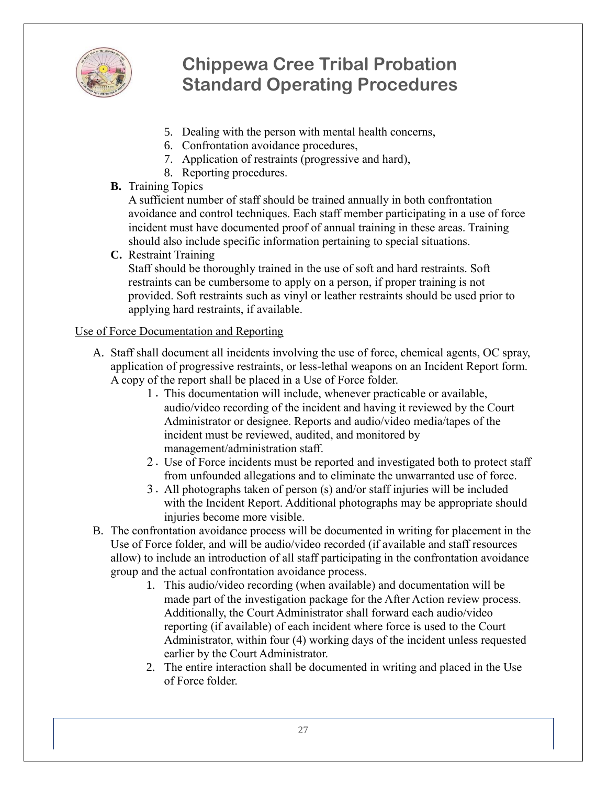

- 5. Dealing with the person with mental health concerns,
- 6. Confrontation avoidance procedures,
- 7. Application of restraints (progressive and hard),
- 8. Reporting procedures.

### **B.** Training Topics

A sufficient number of staff should be trained annually in both confrontation avoidance and control techniques. Each staff member participating in a use of force incident must have documented proof of annual training in these areas. Training should also include specific information pertaining to special situations.

**C.** Restraint Training

Staff should be thoroughly trained in the use of soft and hard restraints. Soft restraints can be cumbersome to apply on a person, if proper training is not provided. Soft restraints such as vinyl or leather restraints should be used prior to applying hard restraints, if available.

### Use of Force Documentation and Reporting

- A. Staff shall document all incidents involving the use of force, chemical agents, OC spray, application of progressive restraints, or less-lethal weapons on an Incident Report form. A copy of the report shall be placed in a Use of Force folder.
	- 1. This documentation will include, whenever practicable or available, audio/video recording of the incident and having it reviewed by the Court Administrator or designee. Reports and audio/video media/tapes of the incident must be reviewed, audited, and monitored by management/administration staff.
	- 2. Use of Force incidents must be reported and investigated both to protect staff from unfounded allegations and to eliminate the unwarranted use of force.
	- 3. All photographs taken of person (s) and/or staff injuries will be included with the Incident Report. Additional photographs may be appropriate should injuries become more visible.
- B. The confrontation avoidance process will be documented in writing for placement in the Use of Force folder, and will be audio/video recorded (if available and staff resources allow) to include an introduction of all staff participating in the confrontation avoidance group and the actual confrontation avoidance process.
	- 1. This audio/video recording (when available) and documentation will be made part of the investigation package for the After Action review process. Additionally, the Court Administrator shall forward each audio/video reporting (if available) of each incident where force is used to the Court Administrator, within four (4) working days of the incident unless requested earlier by the Court Administrator.
	- 2. The entire interaction shall be documented in writing and placed in the Use of Force folder.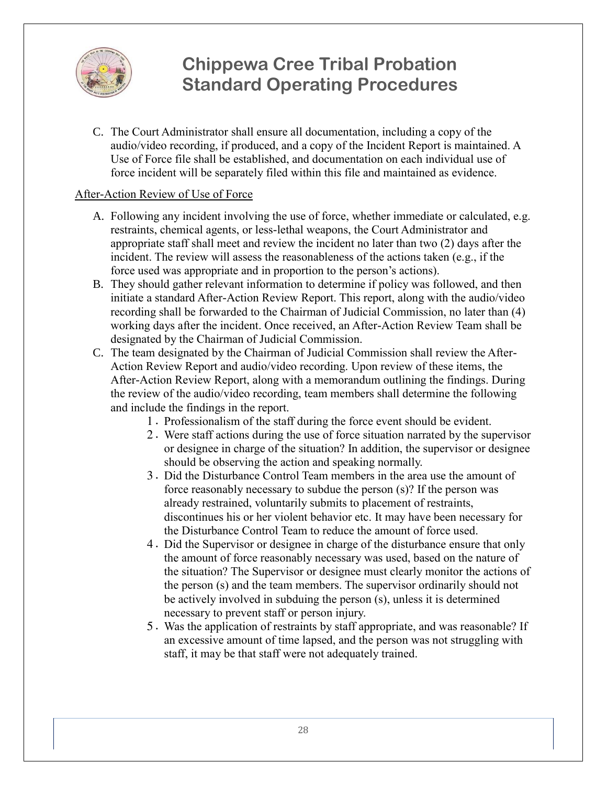

C. The Court Administrator shall ensure all documentation, including a copy of the audio/video recording, if produced, and a copy of the Incident Report is maintained. A Use of Force file shall be established, and documentation on each individual use of force incident will be separately filed within this file and maintained as evidence.

#### After-Action Review of Use of Force

- A. Following any incident involving the use of force, whether immediate or calculated, e.g. restraints, chemical agents, or less-lethal weapons, the Court Administrator and appropriate staff shall meet and review the incident no later than two (2) days after the incident. The review will assess the reasonableness of the actions taken (e.g., if the force used was appropriate and in proportion to the person's actions).
- B. They should gather relevant information to determine if policy was followed, and then initiate a standard After-Action Review Report. This report, along with the audio/video recording shall be forwarded to the Chairman of Judicial Commission, no later than (4) working days after the incident. Once received, an After-Action Review Team shall be designated by the Chairman of Judicial Commission.
- C. The team designated by the Chairman of Judicial Commission shall review the After-Action Review Report and audio/video recording. Upon review of these items, the After-Action Review Report, along with a memorandum outlining the findings. During the review of the audio/video recording, team members shall determine the following and include the findings in the report.
	- 1. Professionalism of the staff during the force event should be evident.
	- 2. Were staff actions during the use of force situation narrated by the supervisor or designee in charge of the situation? In addition, the supervisor or designee should be observing the action and speaking normally.
	- 3. Did the Disturbance Control Team members in the area use the amount of force reasonably necessary to subdue the person (s)? If the person was already restrained, voluntarily submits to placement of restraints, discontinues his or her violent behavior etc. It may have been necessary for the Disturbance Control Team to reduce the amount of force used.
	- 4. Did the Supervisor or designee in charge of the disturbance ensure that only the amount of force reasonably necessary was used, based on the nature of the situation? The Supervisor or designee must clearly monitor the actions of the person (s) and the team members. The supervisor ordinarily should not be actively involved in subduing the person (s), unless it is determined necessary to prevent staff or person injury.
	- 5. Was the application of restraints by staff appropriate, and was reasonable? If an excessive amount of time lapsed, and the person was not struggling with staff, it may be that staff were not adequately trained.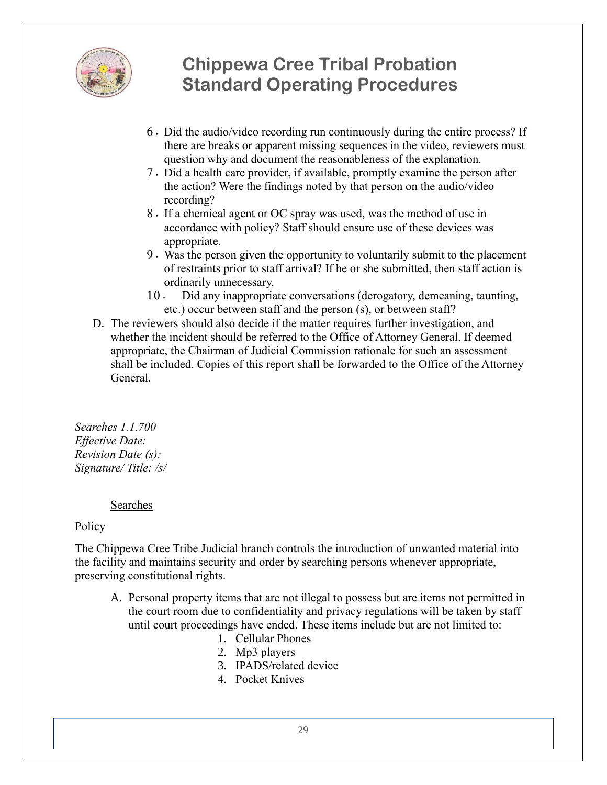

- 6. Did the audio/video recording run continuously during the entire process? If there are breaks or apparent missing sequences in the video, reviewers must question why and document the reasonableness of the explanation.
- 7. Did a health care provider, if available, promptly examine the person after the action? Were the findings noted by that person on the audio/video recording?
- 8. If a chemical agent or OC spray was used, was the method of use in accordance with policy? Staff should ensure use of these devices was appropriate.
- 9. Was the person given the opportunity to voluntarily submit to the placement of restraints prior to staff arrival? If he or she submitted, then staff action is ordinarily unnecessary.
- 10. Did any inappropriate conversations (derogatory, demeaning, taunting, etc.) occur between staff and the person (s), or between staff?
- D. The reviewers should also decide if the matter requires further investigation, and whether the incident should be referred to the Office of Attorney General. If deemed appropriate, the Chairman of Judicial Commission rationale for such an assessment shall be included. Copies of this report shall be forwarded to the Office of the Attorney General.

*Searches 1.1.700 Effective Date: Revision Date (s): Signature/ Title: /s/*

#### Searches

#### Policy

The Chippewa Cree Tribe Judicial branch controls the introduction of unwanted material into the facility and maintains security and order by searching persons whenever appropriate, preserving constitutional rights.

- A. Personal property items that are not illegal to possess but are items not permitted in the court room due to confidentiality and privacy regulations will be taken by staff until court proceedings have ended. These items include but are not limited to:
	- 1. Cellular Phones
	- 2. Mp3 players
	- 3. IPADS/related device
	- 4. Pocket Knives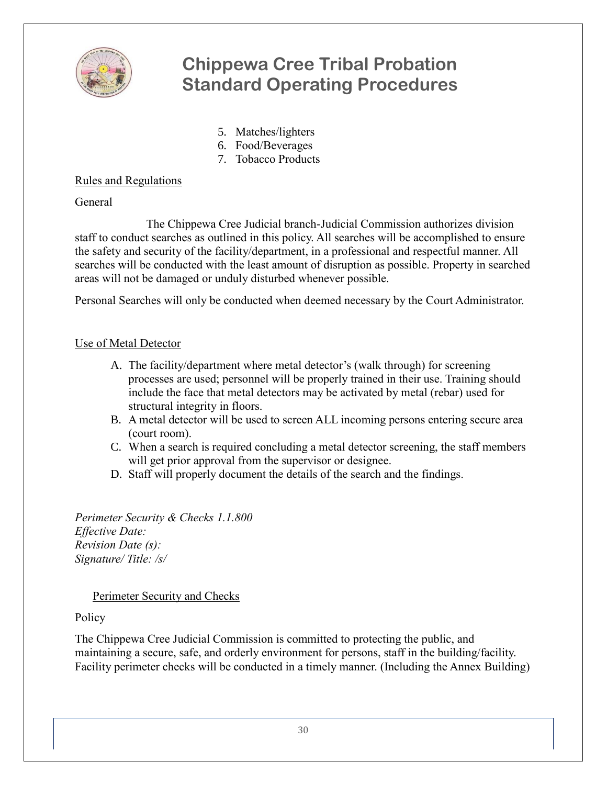

- 5. Matches/lighters
- 6. Food/Beverages
- 7. Tobacco Products

### Rules and Regulations

General

The Chippewa Cree Judicial branch-Judicial Commission authorizes division staff to conduct searches as outlined in this policy. All searches will be accomplished to ensure the safety and security of the facility/department, in a professional and respectful manner. All searches will be conducted with the least amount of disruption as possible. Property in searched areas will not be damaged or unduly disturbed whenever possible.

Personal Searches will only be conducted when deemed necessary by the Court Administrator.

### Use of Metal Detector

- A. The facility/department where metal detector's (walk through) for screening processes are used; personnel will be properly trained in their use. Training should include the face that metal detectors may be activated by metal (rebar) used for structural integrity in floors.
- B. A metal detector will be used to screen ALL incoming persons entering secure area (court room).
- C. When a search is required concluding a metal detector screening, the staff members will get prior approval from the supervisor or designee.
- D. Staff will properly document the details of the search and the findings.

*Perimeter Security & Checks 1.1.800 Effective Date: Revision Date (s): Signature/ Title: /s/*

#### Perimeter Security and Checks

### **Policy**

The Chippewa Cree Judicial Commission is committed to protecting the public, and maintaining a secure, safe, and orderly environment for persons, staff in the building/facility. Facility perimeter checks will be conducted in a timely manner. (Including the Annex Building)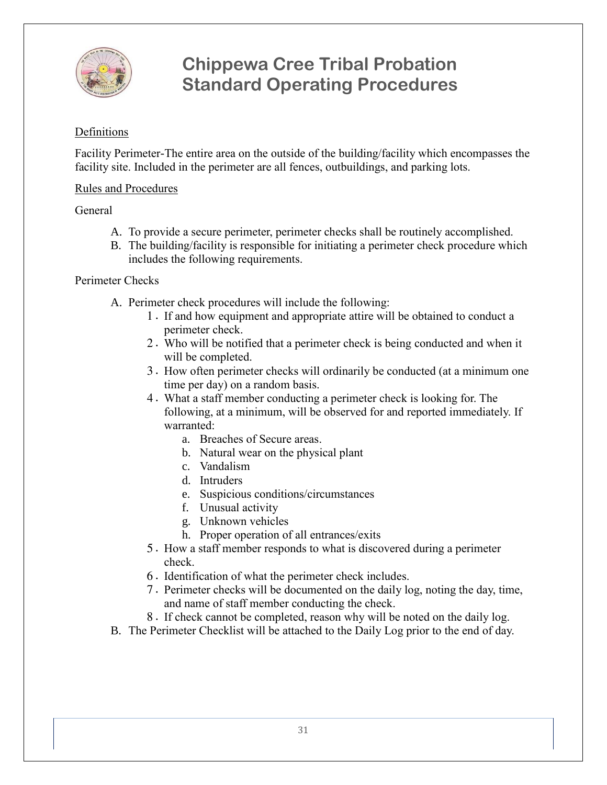

#### Definitions

Facility Perimeter-The entire area on the outside of the building/facility which encompasses the facility site. Included in the perimeter are all fences, outbuildings, and parking lots.

#### Rules and Procedures

#### General

- A. To provide a secure perimeter, perimeter checks shall be routinely accomplished.
- B. The building/facility is responsible for initiating a perimeter check procedure which includes the following requirements.

#### Perimeter Checks

- A. Perimeter check procedures will include the following:
	- 1. If and how equipment and appropriate attire will be obtained to conduct a perimeter check.
	- 2. Who will be notified that a perimeter check is being conducted and when it will be completed.
	- 3. How often perimeter checks will ordinarily be conducted (at a minimum one time per day) on a random basis.
	- 4. What a staff member conducting a perimeter check is looking for. The following, at a minimum, will be observed for and reported immediately. If warranted:
		- a. Breaches of Secure areas.
		- b. Natural wear on the physical plant
		- c. Vandalism
		- d. Intruders
		- e. Suspicious conditions/circumstances
		- f. Unusual activity
		- g. Unknown vehicles
		- h. Proper operation of all entrances/exits
	- 5. How a staff member responds to what is discovered during a perimeter check.
	- 6. Identification of what the perimeter check includes.
	- 7. Perimeter checks will be documented on the daily log, noting the day, time, and name of staff member conducting the check.
	- 8. If check cannot be completed, reason why will be noted on the daily log.
- B. The Perimeter Checklist will be attached to the Daily Log prior to the end of day.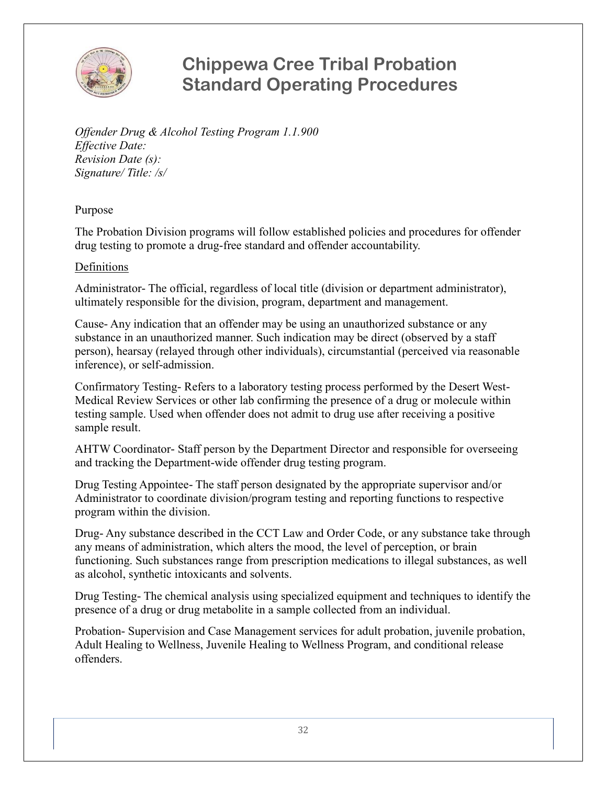

*Offender Drug & Alcohol Testing Program 1.1.900 Effective Date: Revision Date (s): Signature/ Title: /s/*

Purpose

The Probation Division programs will follow established policies and procedures for offender drug testing to promote a drug-free standard and offender accountability.

#### Definitions

Administrator- The official, regardless of local title (division or department administrator), ultimately responsible for the division, program, department and management.

Cause- Any indication that an offender may be using an unauthorized substance or any substance in an unauthorized manner. Such indication may be direct (observed by a staff person), hearsay (relayed through other individuals), circumstantial (perceived via reasonable inference), or self-admission.

Confirmatory Testing- Refers to a laboratory testing process performed by the Desert West-Medical Review Services or other lab confirming the presence of a drug or molecule within testing sample. Used when offender does not admit to drug use after receiving a positive sample result.

AHTW Coordinator- Staff person by the Department Director and responsible for overseeing and tracking the Department-wide offender drug testing program.

Drug Testing Appointee- The staff person designated by the appropriate supervisor and/or Administrator to coordinate division/program testing and reporting functions to respective program within the division.

Drug- Any substance described in the CCT Law and Order Code, or any substance take through any means of administration, which alters the mood, the level of perception, or brain functioning. Such substances range from prescription medications to illegal substances, as well as alcohol, synthetic intoxicants and solvents.

Drug Testing- The chemical analysis using specialized equipment and techniques to identify the presence of a drug or drug metabolite in a sample collected from an individual.

Probation- Supervision and Case Management services for adult probation, juvenile probation, Adult Healing to Wellness, Juvenile Healing to Wellness Program, and conditional release offenders.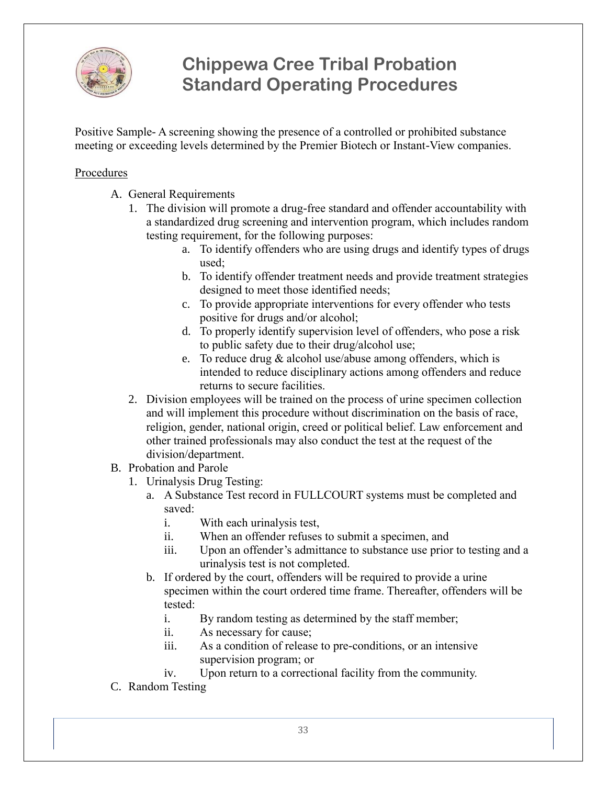

Positive Sample- A screening showing the presence of a controlled or prohibited substance meeting or exceeding levels determined by the Premier Biotech or Instant-View companies.

#### **Procedures**

- A. General Requirements
	- 1. The division will promote a drug-free standard and offender accountability with a standardized drug screening and intervention program, which includes random testing requirement, for the following purposes:
		- a. To identify offenders who are using drugs and identify types of drugs used;
		- b. To identify offender treatment needs and provide treatment strategies designed to meet those identified needs;
		- c. To provide appropriate interventions for every offender who tests positive for drugs and/or alcohol;
		- d. To properly identify supervision level of offenders, who pose a risk to public safety due to their drug/alcohol use;
		- e. To reduce drug  $&$  alcohol use/abuse among offenders, which is intended to reduce disciplinary actions among offenders and reduce returns to secure facilities.
	- 2. Division employees will be trained on the process of urine specimen collection and will implement this procedure without discrimination on the basis of race, religion, gender, national origin, creed or political belief. Law enforcement and other trained professionals may also conduct the test at the request of the division/department.
- B. Probation and Parole
	- 1. Urinalysis Drug Testing:
		- a. A Substance Test record in FULLCOURT systems must be completed and saved:
			- i. With each urinalysis test,
			- ii. When an offender refuses to submit a specimen, and
			- iii. Upon an offender's admittance to substance use prior to testing and a urinalysis test is not completed.
		- b. If ordered by the court, offenders will be required to provide a urine specimen within the court ordered time frame. Thereafter, offenders will be tested:
			- i. By random testing as determined by the staff member;
			- ii. As necessary for cause;
			- iii. As a condition of release to pre-conditions, or an intensive supervision program; or
			- iv. Upon return to a correctional facility from the community.
- C. Random Testing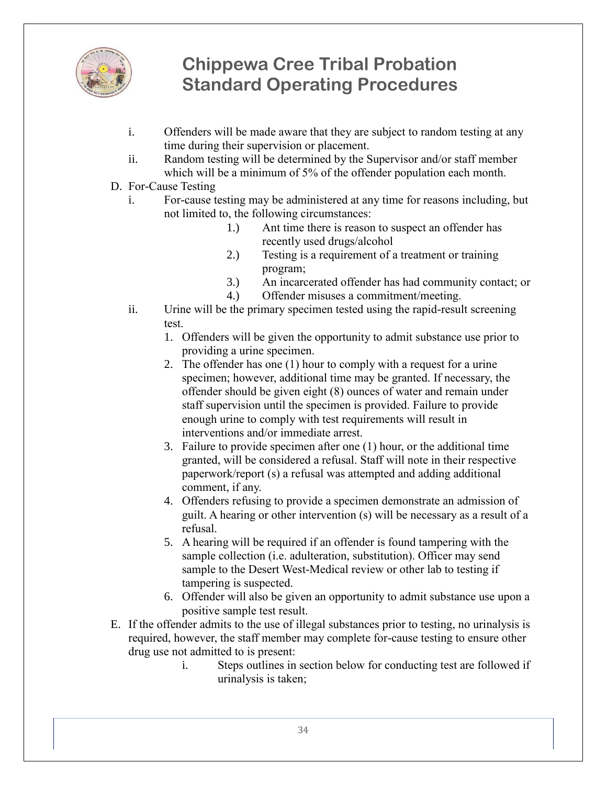

- i. Offenders will be made aware that they are subject to random testing at any time during their supervision or placement.
- ii. Random testing will be determined by the Supervisor and/or staff member which will be a minimum of 5% of the offender population each month.
- D. For-Cause Testing
	- i. For-cause testing may be administered at any time for reasons including, but not limited to, the following circumstances:
		- 1.) Ant time there is reason to suspect an offender has recently used drugs/alcohol
		- 2.) Testing is a requirement of a treatment or training program;
		- 3.) An incarcerated offender has had community contact; or
		- 4.) Offender misuses a commitment/meeting.
	- ii. Urine will be the primary specimen tested using the rapid-result screening test.
		- 1. Offenders will be given the opportunity to admit substance use prior to providing a urine specimen.
		- 2. The offender has one (1) hour to comply with a request for a urine specimen; however, additional time may be granted. If necessary, the offender should be given eight (8) ounces of water and remain under staff supervision until the specimen is provided. Failure to provide enough urine to comply with test requirements will result in interventions and/or immediate arrest.
		- 3. Failure to provide specimen after one (1) hour, or the additional time granted, will be considered a refusal. Staff will note in their respective paperwork/report (s) a refusal was attempted and adding additional comment, if any.
		- 4. Offenders refusing to provide a specimen demonstrate an admission of guilt. A hearing or other intervention (s) will be necessary as a result of a refusal.
		- 5. A hearing will be required if an offender is found tampering with the sample collection (i.e. adulteration, substitution). Officer may send sample to the Desert West-Medical review or other lab to testing if tampering is suspected.
		- 6. Offender will also be given an opportunity to admit substance use upon a positive sample test result.
- E. If the offender admits to the use of illegal substances prior to testing, no urinalysis is required, however, the staff member may complete for-cause testing to ensure other drug use not admitted to is present:
	- i. Steps outlines in section below for conducting test are followed if urinalysis is taken;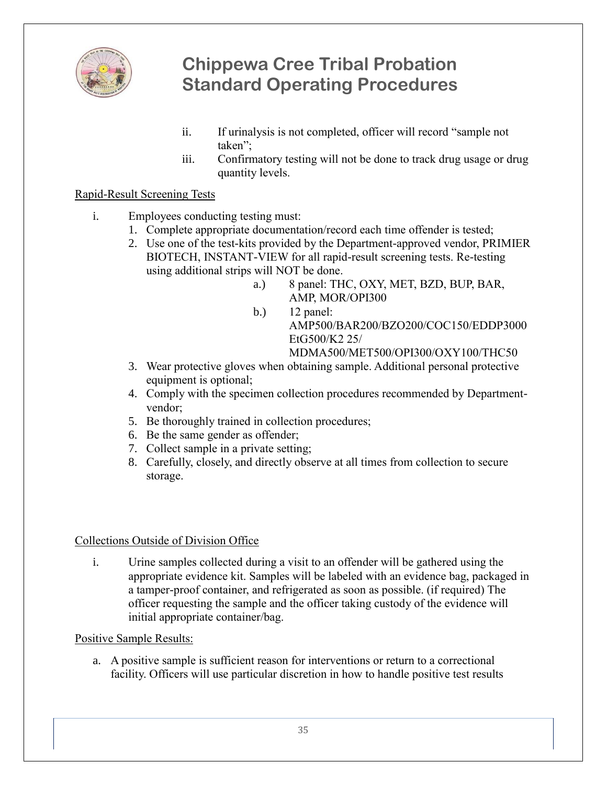

- ii. If urinalysis is not completed, officer will record "sample not taken";
- iii. Confirmatory testing will not be done to track drug usage or drug quantity levels.

### Rapid-Result Screening Tests

- i. Employees conducting testing must:
	- 1. Complete appropriate documentation/record each time offender is tested;
	- 2. Use one of the test-kits provided by the Department-approved vendor, PRIMIER BIOTECH, INSTANT-VIEW for all rapid-result screening tests. Re-testing using additional strips will NOT be done.
		- a.) 8 panel: THC, OXY, MET, BZD, BUP, BAR, AMP, MOR/OPI300
		- b.) 12 panel: AMP500/BAR200/BZO200/COC150/EDDP3000 EtG500/K2 25/ MDMA500/MET500/OPI300/OXY100/THC50
	- 3. Wear protective gloves when obtaining sample. Additional personal protective equipment is optional;
	- 4. Comply with the specimen collection procedures recommended by Departmentvendor;
	- 5. Be thoroughly trained in collection procedures;
	- 6. Be the same gender as offender;
	- 7. Collect sample in a private setting;
	- 8. Carefully, closely, and directly observe at all times from collection to secure storage.

#### Collections Outside of Division Office

i. Urine samples collected during a visit to an offender will be gathered using the appropriate evidence kit. Samples will be labeled with an evidence bag, packaged in a tamper-proof container, and refrigerated as soon as possible. (if required) The officer requesting the sample and the officer taking custody of the evidence will initial appropriate container/bag.

#### Positive Sample Results:

a. A positive sample is sufficient reason for interventions or return to a correctional facility. Officers will use particular discretion in how to handle positive test results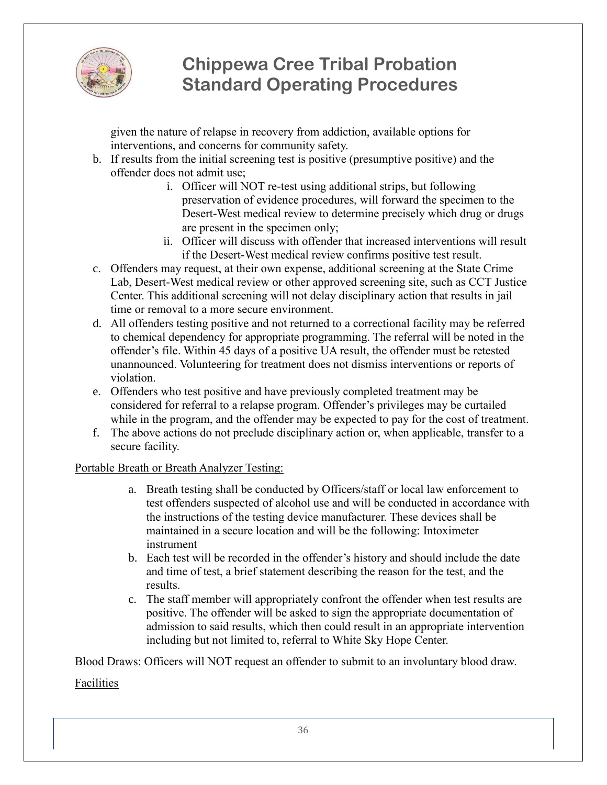

given the nature of relapse in recovery from addiction, available options for interventions, and concerns for community safety.

- b. If results from the initial screening test is positive (presumptive positive) and the offender does not admit use;
	- i. Officer will NOT re-test using additional strips, but following preservation of evidence procedures, will forward the specimen to the Desert-West medical review to determine precisely which drug or drugs are present in the specimen only;
	- ii. Officer will discuss with offender that increased interventions will result if the Desert-West medical review confirms positive test result.
- c. Offenders may request, at their own expense, additional screening at the State Crime Lab, Desert-West medical review or other approved screening site, such as CCT Justice Center. This additional screening will not delay disciplinary action that results in jail time or removal to a more secure environment.
- d. All offenders testing positive and not returned to a correctional facility may be referred to chemical dependency for appropriate programming. The referral will be noted in the offender's file. Within 45 days of a positive UA result, the offender must be retested unannounced. Volunteering for treatment does not dismiss interventions or reports of violation.
- e. Offenders who test positive and have previously completed treatment may be considered for referral to a relapse program. Offender's privileges may be curtailed while in the program, and the offender may be expected to pay for the cost of treatment.
- f. The above actions do not preclude disciplinary action or, when applicable, transfer to a secure facility.

### Portable Breath or Breath Analyzer Testing:

- a. Breath testing shall be conducted by Officers/staff or local law enforcement to test offenders suspected of alcohol use and will be conducted in accordance with the instructions of the testing device manufacturer. These devices shall be maintained in a secure location and will be the following: Intoximeter instrument
- b. Each test will be recorded in the offender's history and should include the date and time of test, a brief statement describing the reason for the test, and the results.
- c. The staff member will appropriately confront the offender when test results are positive. The offender will be asked to sign the appropriate documentation of admission to said results, which then could result in an appropriate intervention including but not limited to, referral to White Sky Hope Center.

Blood Draws: Officers will NOT request an offender to submit to an involuntary blood draw.

Facilities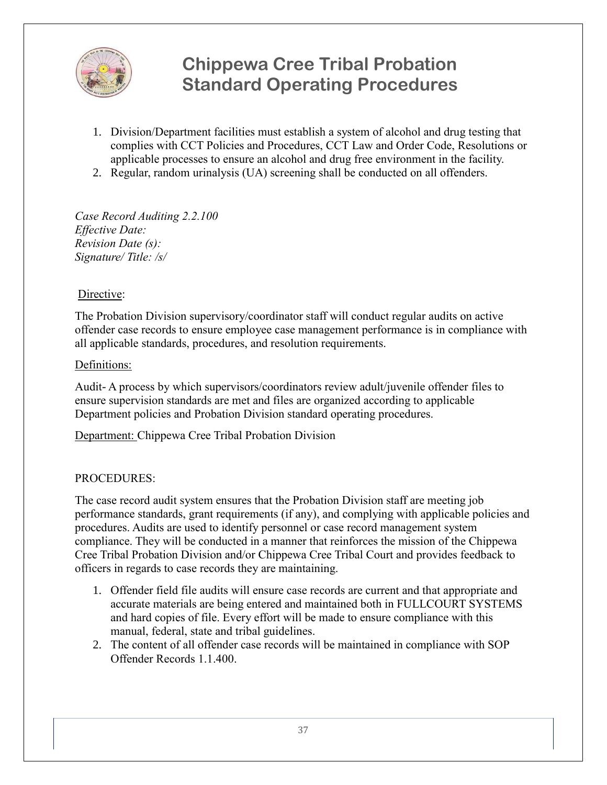

- 1. Division/Department facilities must establish a system of alcohol and drug testing that complies with CCT Policies and Procedures, CCT Law and Order Code, Resolutions or applicable processes to ensure an alcohol and drug free environment in the facility.
- 2. Regular, random urinalysis (UA) screening shall be conducted on all offenders.

*Case Record Auditing 2.2.100 Effective Date: Revision Date (s): Signature/ Title: /s/*

#### Directive:

The Probation Division supervisory/coordinator staff will conduct regular audits on active offender case records to ensure employee case management performance is in compliance with all applicable standards, procedures, and resolution requirements.

#### Definitions:

Audit- A process by which supervisors/coordinators review adult/juvenile offender files to ensure supervision standards are met and files are organized according to applicable Department policies and Probation Division standard operating procedures.

Department: Chippewa Cree Tribal Probation Division

#### PROCEDURES:

The case record audit system ensures that the Probation Division staff are meeting job performance standards, grant requirements (if any), and complying with applicable policies and procedures. Audits are used to identify personnel or case record management system compliance. They will be conducted in a manner that reinforces the mission of the Chippewa Cree Tribal Probation Division and/or Chippewa Cree Tribal Court and provides feedback to officers in regards to case records they are maintaining.

- 1. Offender field file audits will ensure case records are current and that appropriate and accurate materials are being entered and maintained both in FULLCOURT SYSTEMS and hard copies of file. Every effort will be made to ensure compliance with this manual, federal, state and tribal guidelines.
- 2. The content of all offender case records will be maintained in compliance with SOP Offender Records 1.1.400.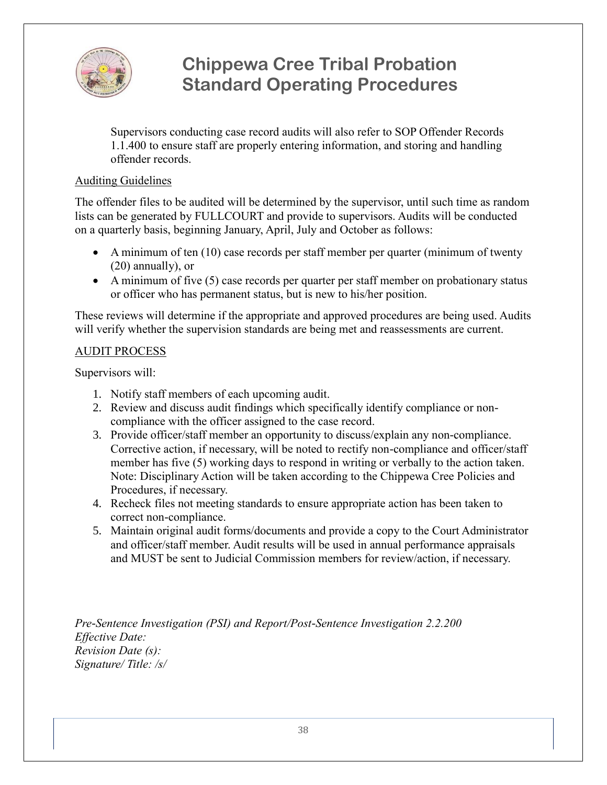

Supervisors conducting case record audits will also refer to SOP Offender Records 1.1.400 to ensure staff are properly entering information, and storing and handling offender records.

#### Auditing Guidelines

The offender files to be audited will be determined by the supervisor, until such time as random lists can be generated by FULLCOURT and provide to supervisors. Audits will be conducted on a quarterly basis, beginning January, April, July and October as follows:

- A minimum of ten (10) case records per staff member per quarter (minimum of twenty (20) annually), or
- A minimum of five (5) case records per quarter per staff member on probationary status or officer who has permanent status, but is new to his/her position.

These reviews will determine if the appropriate and approved procedures are being used. Audits will verify whether the supervision standards are being met and reassessments are current.

### AUDIT PROCESS

Supervisors will:

- 1. Notify staff members of each upcoming audit.
- 2. Review and discuss audit findings which specifically identify compliance or noncompliance with the officer assigned to the case record.
- 3. Provide officer/staff member an opportunity to discuss/explain any non-compliance. Corrective action, if necessary, will be noted to rectify non-compliance and officer/staff member has five (5) working days to respond in writing or verbally to the action taken. Note: Disciplinary Action will be taken according to the Chippewa Cree Policies and Procedures, if necessary.
- 4. Recheck files not meeting standards to ensure appropriate action has been taken to correct non-compliance.
- 5. Maintain original audit forms/documents and provide a copy to the Court Administrator and officer/staff member. Audit results will be used in annual performance appraisals and MUST be sent to Judicial Commission members for review/action, if necessary.

*Pre-Sentence Investigation (PSI) and Report/Post-Sentence Investigation 2.2.200 Effective Date: Revision Date (s): Signature/ Title: /s/*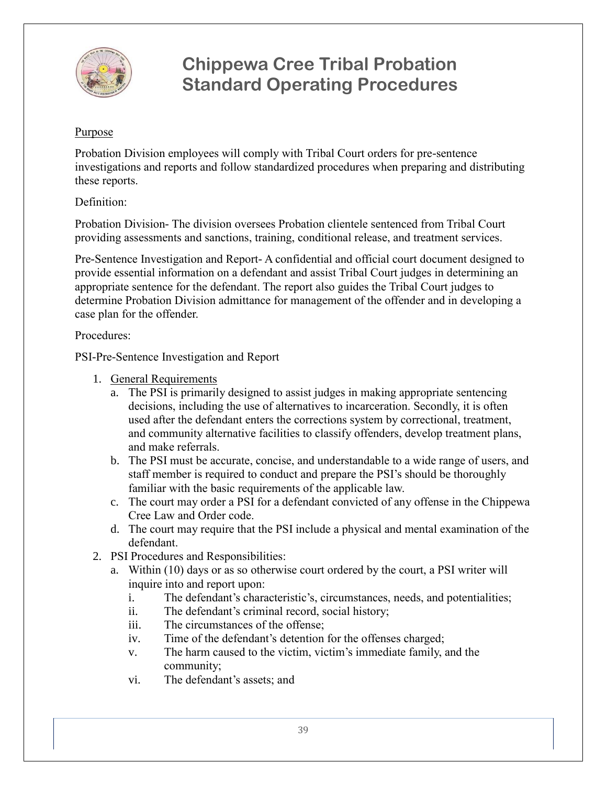

#### Purpose

Probation Division employees will comply with Tribal Court orders for pre-sentence investigations and reports and follow standardized procedures when preparing and distributing these reports.

#### Definition:

Probation Division- The division oversees Probation clientele sentenced from Tribal Court providing assessments and sanctions, training, conditional release, and treatment services.

Pre-Sentence Investigation and Report- A confidential and official court document designed to provide essential information on a defendant and assist Tribal Court judges in determining an appropriate sentence for the defendant. The report also guides the Tribal Court judges to determine Probation Division admittance for management of the offender and in developing a case plan for the offender.

#### Procedures:

PSI-Pre-Sentence Investigation and Report

- 1. General Requirements
	- a. The PSI is primarily designed to assist judges in making appropriate sentencing decisions, including the use of alternatives to incarceration. Secondly, it is often used after the defendant enters the corrections system by correctional, treatment, and community alternative facilities to classify offenders, develop treatment plans, and make referrals.
	- b. The PSI must be accurate, concise, and understandable to a wide range of users, and staff member is required to conduct and prepare the PSI's should be thoroughly familiar with the basic requirements of the applicable law.
	- c. The court may order a PSI for a defendant convicted of any offense in the Chippewa Cree Law and Order code.
	- d. The court may require that the PSI include a physical and mental examination of the defendant.
- 2. PSI Procedures and Responsibilities:
	- a. Within (10) days or as so otherwise court ordered by the court, a PSI writer will inquire into and report upon:
		- i. The defendant's characteristic's, circumstances, needs, and potentialities;
		- ii. The defendant's criminal record, social history;
		- iii. The circumstances of the offense;
		- iv. Time of the defendant's detention for the offenses charged;
		- v. The harm caused to the victim, victim's immediate family, and the community;
		- vi. The defendant's assets; and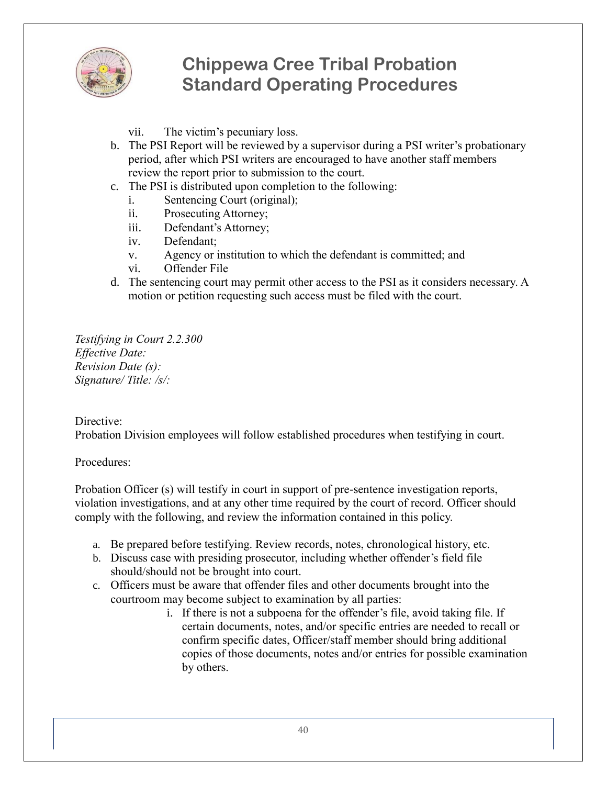

- vii. The victim's pecuniary loss.
- b. The PSI Report will be reviewed by a supervisor during a PSI writer's probationary period, after which PSI writers are encouraged to have another staff members review the report prior to submission to the court.
- c. The PSI is distributed upon completion to the following:
	- i. Sentencing Court (original);
	- ii. Prosecuting Attorney;
	- iii. Defendant's Attorney;
	- iv. Defendant;
	- v. Agency or institution to which the defendant is committed; and
	- vi. Offender File
- d. The sentencing court may permit other access to the PSI as it considers necessary. A motion or petition requesting such access must be filed with the court.

*Testifying in Court 2.2.300 Effective Date: Revision Date (s): Signature/ Title: /s/:*

#### Directive:

Probation Division employees will follow established procedures when testifying in court.

Procedures:

Probation Officer (s) will testify in court in support of pre-sentence investigation reports, violation investigations, and at any other time required by the court of record. Officer should comply with the following, and review the information contained in this policy.

- a. Be prepared before testifying. Review records, notes, chronological history, etc.
- b. Discuss case with presiding prosecutor, including whether offender's field file should/should not be brought into court.
- c. Officers must be aware that offender files and other documents brought into the courtroom may become subject to examination by all parties:
	- i. If there is not a subpoena for the offender's file, avoid taking file. If certain documents, notes, and/or specific entries are needed to recall or confirm specific dates, Officer/staff member should bring additional copies of those documents, notes and/or entries for possible examination by others.